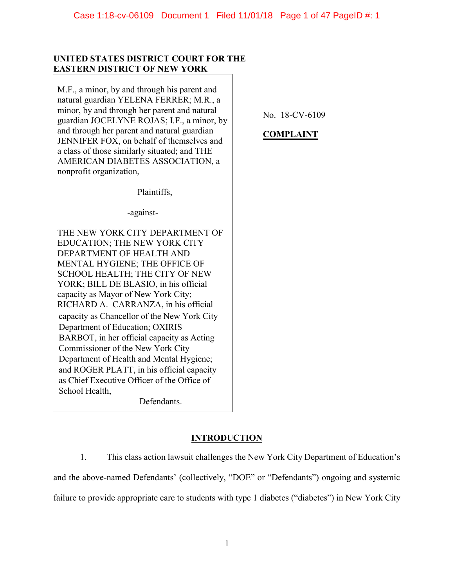# **UNITED STATES DISTRICT COURT FOR THE EASTERN DISTRICT OF NEW YORK**

M.F., a minor, by and through his parent and natural guardian YELENA FERRER; M.R., a minor, by and through her parent and natural guardian JOCELYNE ROJAS; I.F., a minor, by and through her parent and natural guardian JENNIFER FOX, on behalf of themselves and a class of those similarly situated; and THE AMERICAN DIABETES ASSOCIATION, a nonprofit organization,

No. 18-CV-6109

# **COMPLAINT**

Plaintiffs,

-against-

THE NEW YORK CITY DEPARTMENT OF EDUCATION; THE NEW YORK CITY DEPARTMENT OF HEALTH AND MENTAL HYGIENE; THE OFFICE OF SCHOOL HEALTH; THE CITY OF NEW YORK; BILL DE BLASIO, in his official capacity as Mayor of New York City; RICHARD A. CARRANZA, in his official capacity as Chancellor of the New York City Department of Education; OXIRIS BARBOT, in her official capacity as Acting Commissioner of the New York City Department of Health and Mental Hygiene; and ROGER PLATT, in his official capacity as Chief Executive Officer of the Office of School Health,

Defendants.

# **INTRODUCTION**

1. This class action lawsuit challenges the New York City Department of Education's and the above-named Defendants' (collectively, "DOE" or "Defendants") ongoing and systemic failure to provide appropriate care to students with type 1 diabetes ("diabetes") in New York City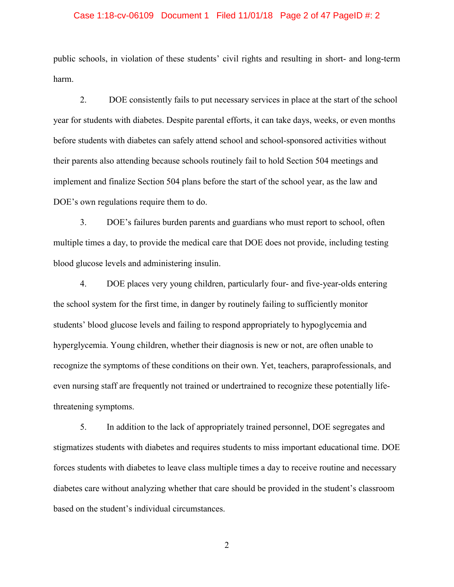## Case 1:18-cv-06109 Document 1 Filed 11/01/18 Page 2 of 47 PageID #: 2

public schools, in violation of these students' civil rights and resulting in short- and long-term harm.

2. DOE consistently fails to put necessary services in place at the start of the school year for students with diabetes. Despite parental efforts, it can take days, weeks, or even months before students with diabetes can safely attend school and school-sponsored activities without their parents also attending because schools routinely fail to hold Section 504 meetings and implement and finalize Section 504 plans before the start of the school year, as the law and DOE's own regulations require them to do.

3. DOE's failures burden parents and guardians who must report to school, often multiple times a day, to provide the medical care that DOE does not provide, including testing blood glucose levels and administering insulin.

4. DOE places very young children, particularly four- and five-year-olds entering the school system for the first time, in danger by routinely failing to sufficiently monitor students' blood glucose levels and failing to respond appropriately to hypoglycemia and hyperglycemia. Young children, whether their diagnosis is new or not, are often unable to recognize the symptoms of these conditions on their own. Yet, teachers, paraprofessionals, and even nursing staff are frequently not trained or undertrained to recognize these potentially lifethreatening symptoms.

5. In addition to the lack of appropriately trained personnel, DOE segregates and stigmatizes students with diabetes and requires students to miss important educational time. DOE forces students with diabetes to leave class multiple times a day to receive routine and necessary diabetes care without analyzing whether that care should be provided in the student's classroom based on the student's individual circumstances.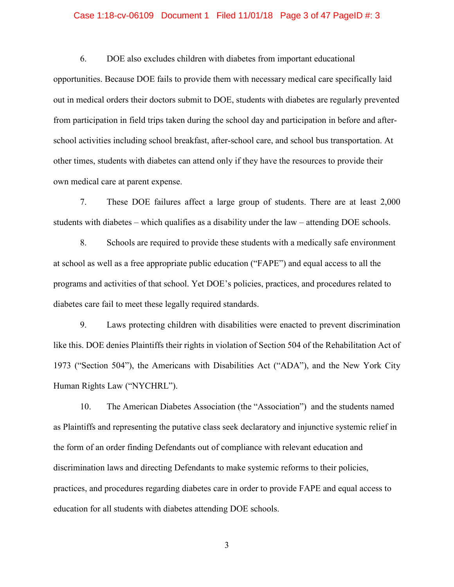## Case 1:18-cv-06109 Document 1 Filed 11/01/18 Page 3 of 47 PageID #: 3

6. DOE also excludes children with diabetes from important educational

opportunities. Because DOE fails to provide them with necessary medical care specifically laid out in medical orders their doctors submit to DOE, students with diabetes are regularly prevented from participation in field trips taken during the school day and participation in before and afterschool activities including school breakfast, after-school care, and school bus transportation. At other times, students with diabetes can attend only if they have the resources to provide their own medical care at parent expense.

7. These DOE failures affect a large group of students. There are at least 2,000 students with diabetes – which qualifies as a disability under the law – attending DOE schools.

8. Schools are required to provide these students with a medically safe environment at school as well as a free appropriate public education ("FAPE") and equal access to all the programs and activities of that school. Yet DOE's policies, practices, and procedures related to diabetes care fail to meet these legally required standards.

9. Laws protecting children with disabilities were enacted to prevent discrimination like this. DOE denies Plaintiffs their rights in violation of Section 504 of the Rehabilitation Act of 1973 ("Section 504"), the Americans with Disabilities Act ("ADA"), and the New York City Human Rights Law ("NYCHRL").

10. The American Diabetes Association (the "Association") and the students named as Plaintiffs and representing the putative class seek declaratory and injunctive systemic relief in the form of an order finding Defendants out of compliance with relevant education and discrimination laws and directing Defendants to make systemic reforms to their policies, practices, and procedures regarding diabetes care in order to provide FAPE and equal access to education for all students with diabetes attending DOE schools.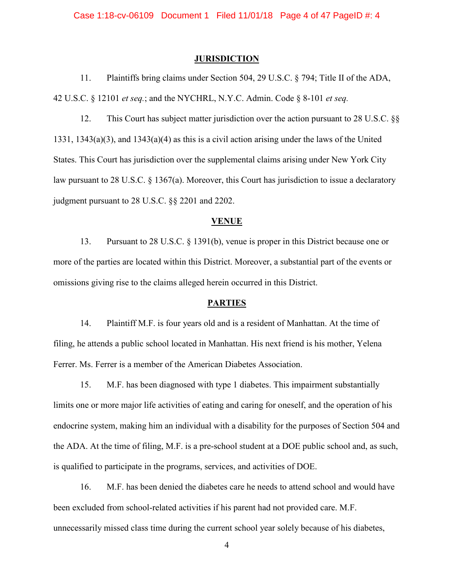### **JURISDICTION**

11. Plaintiffs bring claims under Section 504, 29 U.S.C. § 794; Title II of the ADA, 42 U.S.C. § 12101 *et seq.*; and the NYCHRL, N.Y.C. Admin. Code § 8-101 *et seq.* 

12. This Court has subject matter jurisdiction over the action pursuant to 28 U.S.C. §§ 1331, 1343(a)(3), and 1343(a)(4) as this is a civil action arising under the laws of the United States. This Court has jurisdiction over the supplemental claims arising under New York City law pursuant to 28 U.S.C. § 1367(a). Moreover, this Court has jurisdiction to issue a declaratory judgment pursuant to 28 U.S.C. §§ 2201 and 2202.

## **VENUE**

13. Pursuant to 28 U.S.C. § 1391(b), venue is proper in this District because one or more of the parties are located within this District. Moreover, a substantial part of the events or omissions giving rise to the claims alleged herein occurred in this District.

### **PARTIES**

14. Plaintiff M.F. is four years old and is a resident of Manhattan. At the time of filing, he attends a public school located in Manhattan. His next friend is his mother, Yelena Ferrer. Ms. Ferrer is a member of the American Diabetes Association.

15. M.F. has been diagnosed with type 1 diabetes. This impairment substantially limits one or more major life activities of eating and caring for oneself, and the operation of his endocrine system, making him an individual with a disability for the purposes of Section 504 and the ADA. At the time of filing, M.F. is a pre-school student at a DOE public school and, as such, is qualified to participate in the programs, services, and activities of DOE.

16. M.F. has been denied the diabetes care he needs to attend school and would have been excluded from school-related activities if his parent had not provided care. M.F. unnecessarily missed class time during the current school year solely because of his diabetes,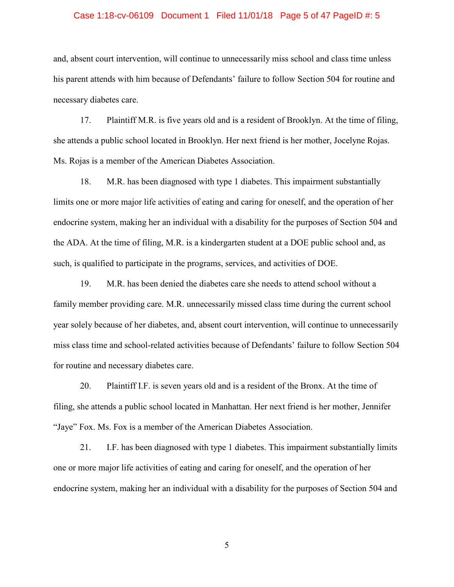## Case 1:18-cv-06109 Document 1 Filed 11/01/18 Page 5 of 47 PageID #: 5

and, absent court intervention, will continue to unnecessarily miss school and class time unless his parent attends with him because of Defendants' failure to follow Section 504 for routine and necessary diabetes care.

17. Plaintiff M.R. is five years old and is a resident of Brooklyn. At the time of filing, she attends a public school located in Brooklyn. Her next friend is her mother, Jocelyne Rojas. Ms. Rojas is a member of the American Diabetes Association.

18. M.R. has been diagnosed with type 1 diabetes. This impairment substantially limits one or more major life activities of eating and caring for oneself, and the operation of her endocrine system, making her an individual with a disability for the purposes of Section 504 and the ADA. At the time of filing, M.R. is a kindergarten student at a DOE public school and, as such, is qualified to participate in the programs, services, and activities of DOE.

19. M.R. has been denied the diabetes care she needs to attend school without a family member providing care. M.R. unnecessarily missed class time during the current school year solely because of her diabetes, and, absent court intervention, will continue to unnecessarily miss class time and school-related activities because of Defendants' failure to follow Section 504 for routine and necessary diabetes care.

20. Plaintiff I.F. is seven years old and is a resident of the Bronx. At the time of filing, she attends a public school located in Manhattan. Her next friend is her mother, Jennifer "Jaye" Fox. Ms. Fox is a member of the American Diabetes Association.

21. I.F. has been diagnosed with type 1 diabetes. This impairment substantially limits one or more major life activities of eating and caring for oneself, and the operation of her endocrine system, making her an individual with a disability for the purposes of Section 504 and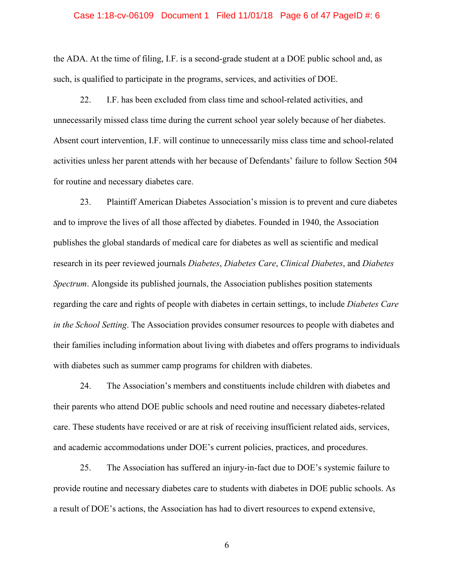## Case 1:18-cv-06109 Document 1 Filed 11/01/18 Page 6 of 47 PageID #: 6

the ADA. At the time of filing, I.F. is a second-grade student at a DOE public school and, as such, is qualified to participate in the programs, services, and activities of DOE.

22. I.F. has been excluded from class time and school-related activities, and unnecessarily missed class time during the current school year solely because of her diabetes. Absent court intervention, I.F. will continue to unnecessarily miss class time and school-related activities unless her parent attends with her because of Defendants' failure to follow Section 504 for routine and necessary diabetes care.

23. Plaintiff American Diabetes Association's mission is to prevent and cure diabetes and to improve the lives of all those affected by diabetes. Founded in 1940, the Association publishes the global standards of medical care for diabetes as well as scientific and medical research in its peer reviewed journals *Diabetes*, *Diabetes Care*, *Clinical Diabetes*, and *Diabetes Spectrum*. Alongside its published journals, the Association publishes position statements regarding the care and rights of people with diabetes in certain settings, to include *Diabetes Care in the School Setting*. The Association provides consumer resources to people with diabetes and their families including information about living with diabetes and offers programs to individuals with diabetes such as summer camp programs for children with diabetes.

24. The Association's members and constituents include children with diabetes and their parents who attend DOE public schools and need routine and necessary diabetes-related care. These students have received or are at risk of receiving insufficient related aids, services, and academic accommodations under DOE's current policies, practices, and procedures.

25. The Association has suffered an injury-in-fact due to DOE's systemic failure to provide routine and necessary diabetes care to students with diabetes in DOE public schools. As a result of DOE's actions, the Association has had to divert resources to expend extensive,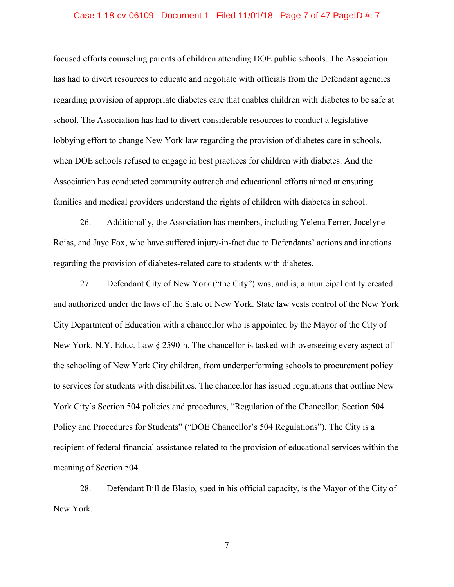## Case 1:18-cv-06109 Document 1 Filed 11/01/18 Page 7 of 47 PageID #: 7

focused efforts counseling parents of children attending DOE public schools. The Association has had to divert resources to educate and negotiate with officials from the Defendant agencies regarding provision of appropriate diabetes care that enables children with diabetes to be safe at school. The Association has had to divert considerable resources to conduct a legislative lobbying effort to change New York law regarding the provision of diabetes care in schools, when DOE schools refused to engage in best practices for children with diabetes. And the Association has conducted community outreach and educational efforts aimed at ensuring families and medical providers understand the rights of children with diabetes in school.

26. Additionally, the Association has members, including Yelena Ferrer, Jocelyne Rojas, and Jaye Fox, who have suffered injury-in-fact due to Defendants' actions and inactions regarding the provision of diabetes-related care to students with diabetes.

27. Defendant City of New York ("the City") was, and is, a municipal entity created and authorized under the laws of the State of New York. State law vests control of the New York City Department of Education with a chancellor who is appointed by the Mayor of the City of New York. N.Y. Educ. Law § 2590-h. The chancellor is tasked with overseeing every aspect of the schooling of New York City children, from underperforming schools to procurement policy to services for students with disabilities. The chancellor has issued regulations that outline New York City's Section 504 policies and procedures, "Regulation of the Chancellor, Section 504 Policy and Procedures for Students" ("DOE Chancellor's 504 Regulations"). The City is a recipient of federal financial assistance related to the provision of educational services within the meaning of Section 504.

28. Defendant Bill de Blasio, sued in his official capacity, is the Mayor of the City of New York.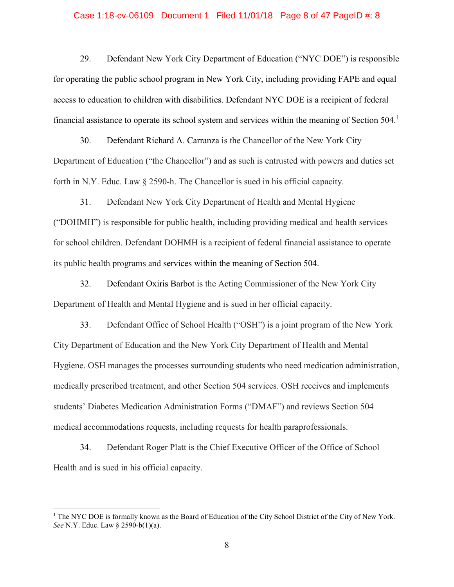## Case 1:18-cv-06109 Document 1 Filed 11/01/18 Page 8 of 47 PageID #: 8

29. Defendant New York City Department of Education ("NYC DOE") is responsible for operating the public school program in New York City, including providing FAPE and equal access to education to children with disabilities. Defendant NYC DOE is a recipient of federal financial assistance to operate its school system and services within the meaning of Section  $504$ .<sup>[1](#page-7-0)</sup>

30. Defendant Richard A. Carranza is the Chancellor of the New York City Department of Education ("the Chancellor") and as such is entrusted with powers and duties set forth in N.Y. Educ. Law § 2590-h. The Chancellor is sued in his official capacity.

31. Defendant New York City Department of Health and Mental Hygiene ("DOHMH") is responsible for public health, including providing medical and health services for school children. Defendant DOHMH is a recipient of federal financial assistance to operate its public health programs and services within the meaning of Section 504.

32. Defendant Oxiris Barbot is the Acting Commissioner of the New York City Department of Health and Mental Hygiene and is sued in her official capacity.

33. Defendant Office of School Health ("OSH") is a joint program of the New York City Department of Education and the New York City Department of Health and Mental Hygiene. OSH manages the processes surrounding students who need medication administration, medically prescribed treatment, and other Section 504 services. OSH receives and implements students' Diabetes Medication Administration Forms ("DMAF") and reviews Section 504 medical accommodations requests, including requests for health paraprofessionals.

34. Defendant Roger Platt is the Chief Executive Officer of the Office of School Health and is sued in his official capacity.

<span id="page-7-0"></span><sup>&</sup>lt;sup>1</sup> The NYC DOE is formally known as the Board of Education of the City School District of the City of New York. *See* N.Y. Educ. Law § 2590-b(1)(a).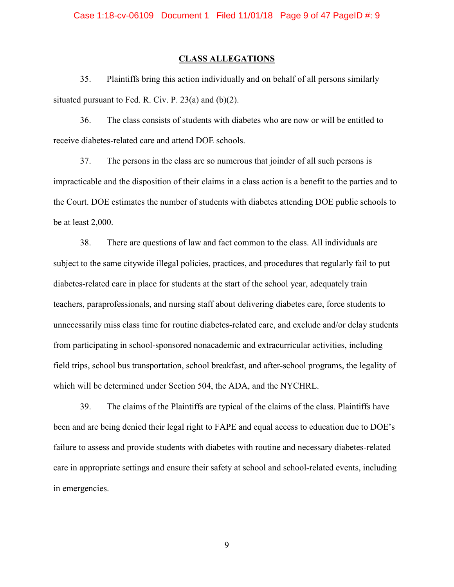#### **CLASS ALLEGATIONS**

35. Plaintiffs bring this action individually and on behalf of all persons similarly situated pursuant to Fed. R. Civ. P. 23(a) and (b)(2).

36. The class consists of students with diabetes who are now or will be entitled to receive diabetes-related care and attend DOE schools.

37. The persons in the class are so numerous that joinder of all such persons is impracticable and the disposition of their claims in a class action is a benefit to the parties and to the Court. DOE estimates the number of students with diabetes attending DOE public schools to be at least 2,000.

38. There are questions of law and fact common to the class. All individuals are subject to the same citywide illegal policies, practices, and procedures that regularly fail to put diabetes-related care in place for students at the start of the school year, adequately train teachers, paraprofessionals, and nursing staff about delivering diabetes care, force students to unnecessarily miss class time for routine diabetes-related care, and exclude and/or delay students from participating in school-sponsored nonacademic and extracurricular activities, including field trips, school bus transportation, school breakfast, and after-school programs, the legality of which will be determined under Section 504, the ADA, and the NYCHRL.

39. The claims of the Plaintiffs are typical of the claims of the class. Plaintiffs have been and are being denied their legal right to FAPE and equal access to education due to DOE's failure to assess and provide students with diabetes with routine and necessary diabetes-related care in appropriate settings and ensure their safety at school and school-related events, including in emergencies.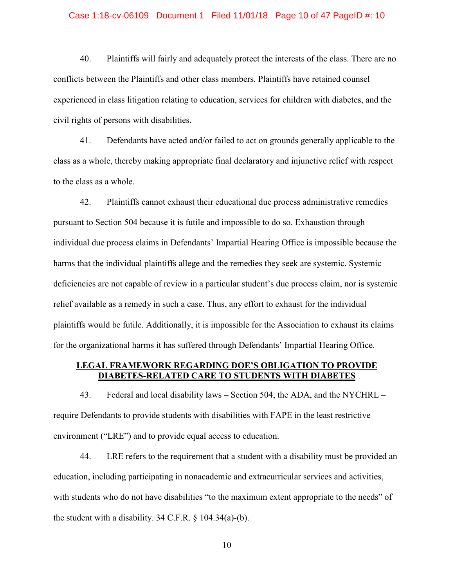#### Case 1:18-cv-06109 Document 1 Filed 11/01/18 Page 10 of 47 PageID #: 10

40. Plaintiffs will fairly and adequately protect the interests of the class. There are no conflicts between the Plaintiffs and other class members. Plaintiffs have retained counsel experienced in class litigation relating to education, services for children with diabetes, and the civil rights of persons with disabilities.

41. Defendants have acted and/or failed to act on grounds generally applicable to the class as a whole, thereby making appropriate final declaratory and injunctive relief with respect to the class as a whole.

42. Plaintiffs cannot exhaust their educational due process administrative remedies pursuant to Section 504 because it is futile and impossible to do so. Exhaustion through individual due process claims in Defendants' Impartial Hearing Office is impossible because the harms that the individual plaintiffs allege and the remedies they seek are systemic. Systemic deficiencies are not capable of review in a particular student's due process claim, nor is systemic relief available as a remedy in such a case. Thus, any effort to exhaust for the individual plaintiffs would be futile. Additionally, it is impossible for the Association to exhaust its claims for the organizational harms it has suffered through Defendants' Impartial Hearing Office.

# **LEGAL FRAMEWORK REGARDING DOE'S OBLIGATION TO PROVIDE DIABETES-RELATED CARE TO STUDENTS WITH DIABETES**

43. Federal and local disability laws – Section 504, the ADA, and the NYCHRL – require Defendants to provide students with disabilities with FAPE in the least restrictive environment ("LRE") and to provide equal access to education.

44. LRE refers to the requirement that a student with a disability must be provided an education, including participating in nonacademic and extracurricular services and activities, with students who do not have disabilities "to the maximum extent appropriate to the needs" of the student with a disability.  $34$  C.F.R. § 104.34(a)-(b).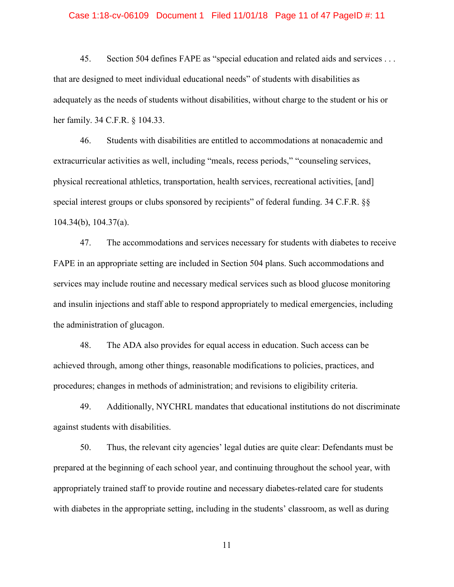#### Case 1:18-cv-06109 Document 1 Filed 11/01/18 Page 11 of 47 PageID #: 11

45. Section 504 defines FAPE as "special education and related aids and services . . . that are designed to meet individual educational needs" of students with disabilities as adequately as the needs of students without disabilities, without charge to the student or his or her family. 34 C.F.R. § 104.33.

46. Students with disabilities are entitled to accommodations at nonacademic and extracurricular activities as well, including "meals, recess periods," "counseling services, physical recreational athletics, transportation, health services, recreational activities, [and] special interest groups or clubs sponsored by recipients" of federal funding. 34 C.F.R.  $\S$ 104.34(b), 104.37(a).

47. The accommodations and services necessary for students with diabetes to receive FAPE in an appropriate setting are included in Section 504 plans. Such accommodations and services may include routine and necessary medical services such as blood glucose monitoring and insulin injections and staff able to respond appropriately to medical emergencies, including the administration of glucagon.

48. The ADA also provides for equal access in education. Such access can be achieved through, among other things, reasonable modifications to policies, practices, and procedures; changes in methods of administration; and revisions to eligibility criteria.

49. Additionally, NYCHRL mandates that educational institutions do not discriminate against students with disabilities.

50. Thus, the relevant city agencies' legal duties are quite clear: Defendants must be prepared at the beginning of each school year, and continuing throughout the school year, with appropriately trained staff to provide routine and necessary diabetes-related care for students with diabetes in the appropriate setting, including in the students' classroom, as well as during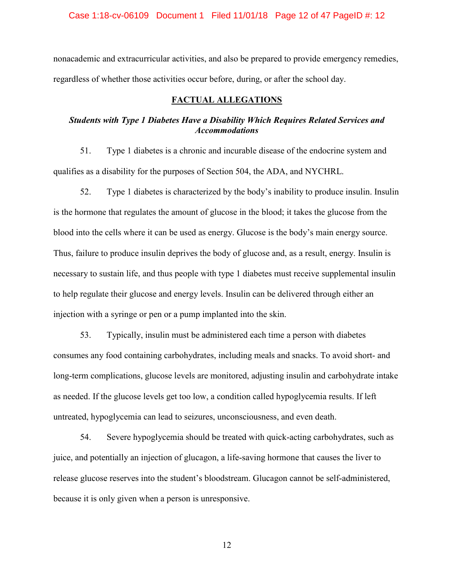Case 1:18-cv-06109 Document 1 Filed 11/01/18 Page 12 of 47 PageID #: 12

nonacademic and extracurricular activities, and also be prepared to provide emergency remedies, regardless of whether those activities occur before, during, or after the school day.

# **FACTUAL ALLEGATIONS**

# *Students with Type 1 Diabetes Have a Disability Which Requires Related Services and Accommodations*

51. Type 1 diabetes is a chronic and incurable disease of the endocrine system and qualifies as a disability for the purposes of Section 504, the ADA, and NYCHRL.

52. Type 1 diabetes is characterized by the body's inability to produce insulin. Insulin is the hormone that regulates the amount of glucose in the blood; it takes the glucose from the blood into the cells where it can be used as energy. Glucose is the body's main energy source. Thus, failure to produce insulin deprives the body of glucose and, as a result, energy. Insulin is necessary to sustain life, and thus people with type 1 diabetes must receive supplemental insulin to help regulate their glucose and energy levels. Insulin can be delivered through either an injection with a syringe or pen or a pump implanted into the skin.

53. Typically, insulin must be administered each time a person with diabetes consumes any food containing carbohydrates, including meals and snacks. To avoid short- and long-term complications, glucose levels are monitored, adjusting insulin and carbohydrate intake as needed. If the glucose levels get too low, a condition called hypoglycemia results. If left untreated, hypoglycemia can lead to seizures, unconsciousness, and even death.

54. Severe hypoglycemia should be treated with quick-acting carbohydrates, such as juice, and potentially an injection of glucagon, a life-saving hormone that causes the liver to release glucose reserves into the student's bloodstream. Glucagon cannot be self-administered, because it is only given when a person is unresponsive.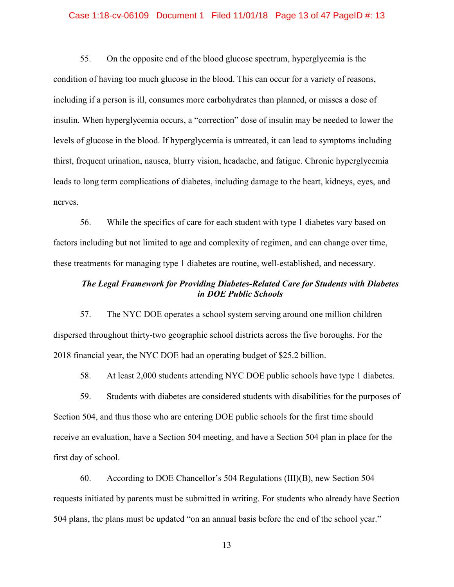#### Case 1:18-cv-06109 Document 1 Filed 11/01/18 Page 13 of 47 PageID #: 13

55. On the opposite end of the blood glucose spectrum, hyperglycemia is the condition of having too much glucose in the blood. This can occur for a variety of reasons, including if a person is ill, consumes more carbohydrates than planned, or misses a dose of insulin. When hyperglycemia occurs, a "correction" dose of insulin may be needed to lower the levels of glucose in the blood. If hyperglycemia is untreated, it can lead to symptoms including thirst, frequent urination, nausea, blurry vision, headache, and fatigue. Chronic hyperglycemia leads to long term complications of diabetes, including damage to the heart, kidneys, eyes, and nerves.

56. While the specifics of care for each student with type 1 diabetes vary based on factors including but not limited to age and complexity of regimen, and can change over time, these treatments for managing type 1 diabetes are routine, well-established, and necessary.

# *The Legal Framework for Providing Diabetes-Related Care for Students with Diabetes in DOE Public Schools*

57. The NYC DOE operates a school system serving around one million children dispersed throughout thirty-two geographic school districts across the five boroughs. For the 2018 financial year, the NYC DOE had an operating budget of \$25.2 billion.

58. At least 2,000 students attending NYC DOE public schools have type 1 diabetes.

59. Students with diabetes are considered students with disabilities for the purposes of Section 504, and thus those who are entering DOE public schools for the first time should receive an evaluation, have a Section 504 meeting, and have a Section 504 plan in place for the first day of school.

60. According to DOE Chancellor's 504 Regulations (III)(B), new Section 504 requests initiated by parents must be submitted in writing. For students who already have Section 504 plans, the plans must be updated "on an annual basis before the end of the school year."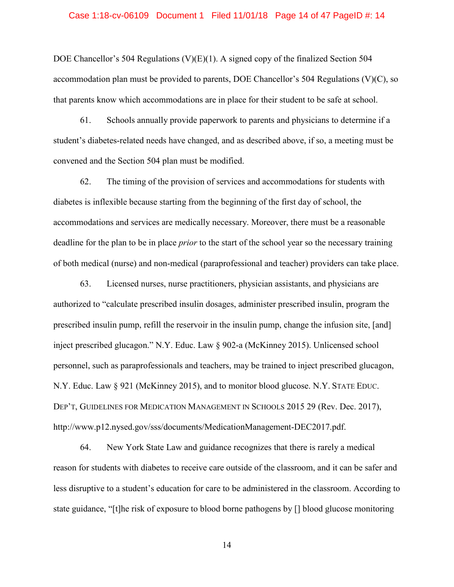#### Case 1:18-cv-06109 Document 1 Filed 11/01/18 Page 14 of 47 PageID #: 14

DOE Chancellor's 504 Regulations (V) $(E)(1)$ . A signed copy of the finalized Section 504 accommodation plan must be provided to parents, DOE Chancellor's 504 Regulations (V)(C), so that parents know which accommodations are in place for their student to be safe at school.

61. Schools annually provide paperwork to parents and physicians to determine if a student's diabetes-related needs have changed, and as described above, if so, a meeting must be convened and the Section 504 plan must be modified.

62. The timing of the provision of services and accommodations for students with diabetes is inflexible because starting from the beginning of the first day of school, the accommodations and services are medically necessary. Moreover, there must be a reasonable deadline for the plan to be in place *prior* to the start of the school year so the necessary training of both medical (nurse) and non-medical (paraprofessional and teacher) providers can take place.

63. Licensed nurses, nurse practitioners, physician assistants, and physicians are authorized to "calculate prescribed insulin dosages, administer prescribed insulin, program the prescribed insulin pump, refill the reservoir in the insulin pump, change the infusion site, [and] inject prescribed glucagon." N.Y. Educ. Law § 902-a (McKinney 2015). Unlicensed school personnel, such as paraprofessionals and teachers, may be trained to inject prescribed glucagon, N.Y. Educ. Law § 921 (McKinney 2015), and to monitor blood glucose. N.Y. STATE EDUC. DEP'T, GUIDELINES FOR MEDICATION MANAGEMENT IN SCHOOLS 2015 29 (Rev. Dec. 2017), http://www.p12.nysed.gov/sss/documents/MedicationManagement-DEC2017.pdf.

64. New York State Law and guidance recognizes that there is rarely a medical reason for students with diabetes to receive care outside of the classroom, and it can be safer and less disruptive to a student's education for care to be administered in the classroom. According to state guidance, "[t]he risk of exposure to blood borne pathogens by [] blood glucose monitoring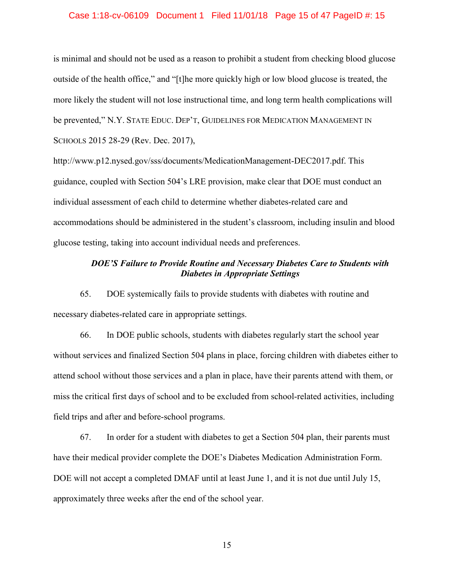## Case 1:18-cv-06109 Document 1 Filed 11/01/18 Page 15 of 47 PageID #: 15

is minimal and should not be used as a reason to prohibit a student from checking blood glucose outside of the health office," and "[t]he more quickly high or low blood glucose is treated, the more likely the student will not lose instructional time, and long term health complications will be prevented," N.Y. STATE EDUC. DEP'T, GUIDELINES FOR MEDICATION MANAGEMENT IN SCHOOLS 2015 28-29 (Rev. Dec. 2017),

http://www.p12.nysed.gov/sss/documents/MedicationManagement-DEC2017.pdf. This guidance, coupled with Section 504's LRE provision, make clear that DOE must conduct an individual assessment of each child to determine whether diabetes-related care and accommodations should be administered in the student's classroom, including insulin and blood glucose testing, taking into account individual needs and preferences.

# *DOE'S Failure to Provide Routine and Necessary Diabetes Care to Students with Diabetes in Appropriate Settings*

65. DOE systemically fails to provide students with diabetes with routine and necessary diabetes-related care in appropriate settings.

66. In DOE public schools, students with diabetes regularly start the school year without services and finalized Section 504 plans in place, forcing children with diabetes either to attend school without those services and a plan in place, have their parents attend with them, or miss the critical first days of school and to be excluded from school-related activities, including field trips and after and before-school programs.

67. In order for a student with diabetes to get a Section 504 plan, their parents must have their medical provider complete the DOE's Diabetes Medication Administration Form. DOE will not accept a completed DMAF until at least June 1, and it is not due until July 15, approximately three weeks after the end of the school year.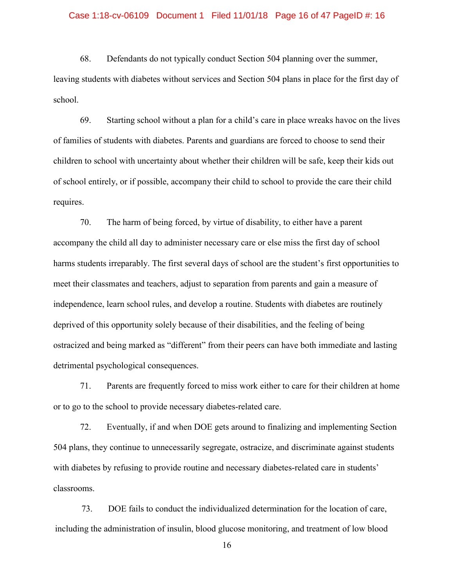#### Case 1:18-cv-06109 Document 1 Filed 11/01/18 Page 16 of 47 PageID #: 16

68. Defendants do not typically conduct Section 504 planning over the summer, leaving students with diabetes without services and Section 504 plans in place for the first day of school.

69. Starting school without a plan for a child's care in place wreaks havoc on the lives of families of students with diabetes. Parents and guardians are forced to choose to send their children to school with uncertainty about whether their children will be safe, keep their kids out of school entirely, or if possible, accompany their child to school to provide the care their child requires.

70. The harm of being forced, by virtue of disability, to either have a parent accompany the child all day to administer necessary care or else miss the first day of school harms students irreparably. The first several days of school are the student's first opportunities to meet their classmates and teachers, adjust to separation from parents and gain a measure of independence, learn school rules, and develop a routine. Students with diabetes are routinely deprived of this opportunity solely because of their disabilities, and the feeling of being ostracized and being marked as "different" from their peers can have both immediate and lasting detrimental psychological consequences.

71. Parents are frequently forced to miss work either to care for their children at home or to go to the school to provide necessary diabetes-related care.

72. Eventually, if and when DOE gets around to finalizing and implementing Section 504 plans, they continue to unnecessarily segregate, ostracize, and discriminate against students with diabetes by refusing to provide routine and necessary diabetes-related care in students' classrooms.

73. DOE fails to conduct the individualized determination for the location of care, including the administration of insulin, blood glucose monitoring, and treatment of low blood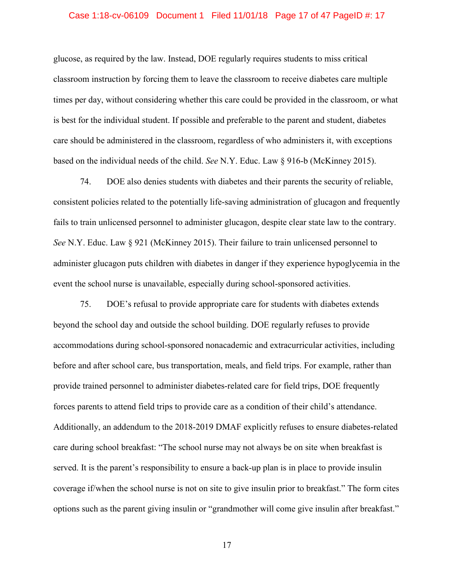#### Case 1:18-cv-06109 Document 1 Filed 11/01/18 Page 17 of 47 PageID #: 17

glucose, as required by the law. Instead, DOE regularly requires students to miss critical classroom instruction by forcing them to leave the classroom to receive diabetes care multiple times per day, without considering whether this care could be provided in the classroom, or what is best for the individual student. If possible and preferable to the parent and student, diabetes care should be administered in the classroom, regardless of who administers it, with exceptions based on the individual needs of the child. *See* N.Y. Educ. Law § 916-b (McKinney 2015).

74. DOE also denies students with diabetes and their parents the security of reliable, consistent policies related to the potentially life-saving administration of glucagon and frequently fails to train unlicensed personnel to administer glucagon, despite clear state law to the contrary. *See* N.Y. Educ. Law § 921 (McKinney 2015). Their failure to train unlicensed personnel to administer glucagon puts children with diabetes in danger if they experience hypoglycemia in the event the school nurse is unavailable, especially during school-sponsored activities.

75. DOE's refusal to provide appropriate care for students with diabetes extends beyond the school day and outside the school building. DOE regularly refuses to provide accommodations during school-sponsored nonacademic and extracurricular activities, including before and after school care, bus transportation, meals, and field trips. For example, rather than provide trained personnel to administer diabetes-related care for field trips, DOE frequently forces parents to attend field trips to provide care as a condition of their child's attendance. Additionally, an addendum to the 2018-2019 DMAF explicitly refuses to ensure diabetes-related care during school breakfast: "The school nurse may not always be on site when breakfast is served. It is the parent's responsibility to ensure a back-up plan is in place to provide insulin coverage if/when the school nurse is not on site to give insulin prior to breakfast." The form cites options such as the parent giving insulin or "grandmother will come give insulin after breakfast."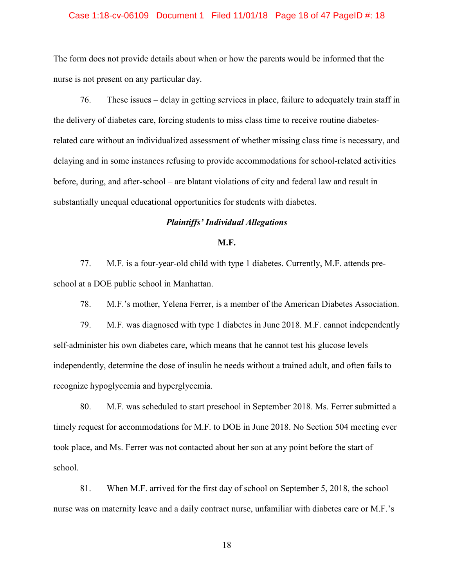#### Case 1:18-cv-06109 Document 1 Filed 11/01/18 Page 18 of 47 PageID #: 18

The form does not provide details about when or how the parents would be informed that the nurse is not present on any particular day.

76. These issues – delay in getting services in place, failure to adequately train staff in the delivery of diabetes care, forcing students to miss class time to receive routine diabetesrelated care without an individualized assessment of whether missing class time is necessary, and delaying and in some instances refusing to provide accommodations for school-related activities before, during, and after-school – are blatant violations of city and federal law and result in substantially unequal educational opportunities for students with diabetes.

# *Plaintiffs' Individual Allegations*

## **M.F.**

77. M.F. is a four-year-old child with type 1 diabetes. Currently, M.F. attends preschool at a DOE public school in Manhattan.

78. M.F.'s mother, Yelena Ferrer, is a member of the American Diabetes Association.

79. M.F. was diagnosed with type 1 diabetes in June 2018. M.F. cannot independently self-administer his own diabetes care, which means that he cannot test his glucose levels independently, determine the dose of insulin he needs without a trained adult, and often fails to recognize hypoglycemia and hyperglycemia.

80. M.F. was scheduled to start preschool in September 2018. Ms. Ferrer submitted a timely request for accommodations for M.F. to DOE in June 2018. No Section 504 meeting ever took place, and Ms. Ferrer was not contacted about her son at any point before the start of school.

81. When M.F. arrived for the first day of school on September 5, 2018, the school nurse was on maternity leave and a daily contract nurse, unfamiliar with diabetes care or M.F.'s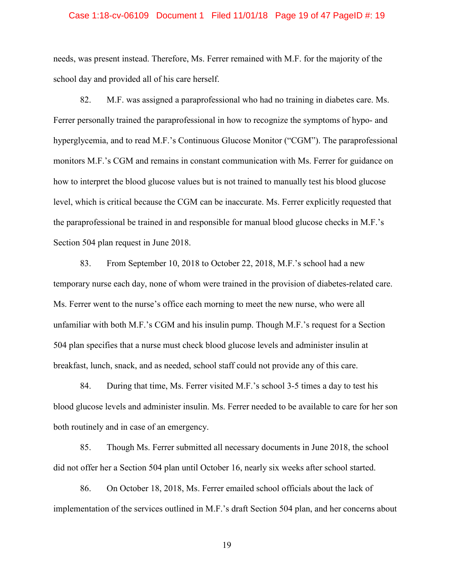#### Case 1:18-cv-06109 Document 1 Filed 11/01/18 Page 19 of 47 PageID #: 19

needs, was present instead. Therefore, Ms. Ferrer remained with M.F. for the majority of the school day and provided all of his care herself.

82. M.F. was assigned a paraprofessional who had no training in diabetes care. Ms. Ferrer personally trained the paraprofessional in how to recognize the symptoms of hypo- and hyperglycemia, and to read M.F.'s Continuous Glucose Monitor ("CGM"). The paraprofessional monitors M.F.'s CGM and remains in constant communication with Ms. Ferrer for guidance on how to interpret the blood glucose values but is not trained to manually test his blood glucose level, which is critical because the CGM can be inaccurate. Ms. Ferrer explicitly requested that the paraprofessional be trained in and responsible for manual blood glucose checks in M.F.'s Section 504 plan request in June 2018.

83. From September 10, 2018 to October 22, 2018, M.F.'s school had a new temporary nurse each day, none of whom were trained in the provision of diabetes-related care. Ms. Ferrer went to the nurse's office each morning to meet the new nurse, who were all unfamiliar with both M.F.'s CGM and his insulin pump. Though M.F.'s request for a Section 504 plan specifies that a nurse must check blood glucose levels and administer insulin at breakfast, lunch, snack, and as needed, school staff could not provide any of this care.

84. During that time, Ms. Ferrer visited M.F.'s school 3-5 times a day to test his blood glucose levels and administer insulin. Ms. Ferrer needed to be available to care for her son both routinely and in case of an emergency.

85. Though Ms. Ferrer submitted all necessary documents in June 2018, the school did not offer her a Section 504 plan until October 16, nearly six weeks after school started.

86. On October 18, 2018, Ms. Ferrer emailed school officials about the lack of implementation of the services outlined in M.F.'s draft Section 504 plan, and her concerns about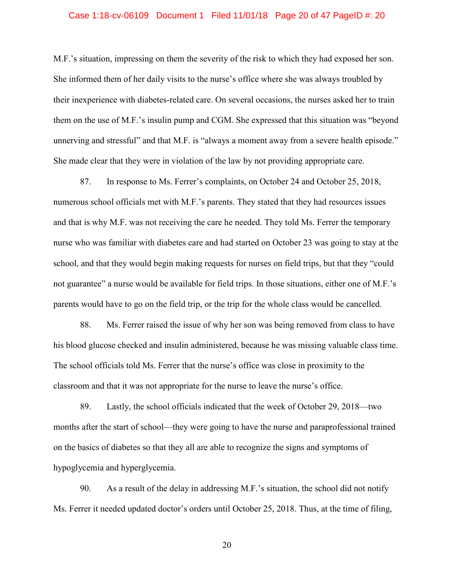#### Case 1:18-cv-06109 Document 1 Filed 11/01/18 Page 20 of 47 PageID #: 20

M.F.'s situation, impressing on them the severity of the risk to which they had exposed her son. She informed them of her daily visits to the nurse's office where she was always troubled by their inexperience with diabetes-related care. On several occasions, the nurses asked her to train them on the use of M.F.'s insulin pump and CGM. She expressed that this situation was "beyond unnerving and stressful" and that M.F. is "always a moment away from a severe health episode." She made clear that they were in violation of the law by not providing appropriate care.

87. In response to Ms. Ferrer's complaints, on October 24 and October 25, 2018, numerous school officials met with M.F.'s parents. They stated that they had resources issues and that is why M.F. was not receiving the care he needed. They told Ms. Ferrer the temporary nurse who was familiar with diabetes care and had started on October 23 was going to stay at the school, and that they would begin making requests for nurses on field trips, but that they "could not guarantee" a nurse would be available for field trips. In those situations, either one of M.F.'s parents would have to go on the field trip, or the trip for the whole class would be cancelled.

88. Ms. Ferrer raised the issue of why her son was being removed from class to have his blood glucose checked and insulin administered, because he was missing valuable class time. The school officials told Ms. Ferrer that the nurse's office was close in proximity to the classroom and that it was not appropriate for the nurse to leave the nurse's office.

89. Lastly, the school officials indicated that the week of October 29, 2018—two months after the start of school—they were going to have the nurse and paraprofessional trained on the basics of diabetes so that they all are able to recognize the signs and symptoms of hypoglycemia and hyperglycemia.

90. As a result of the delay in addressing M.F.'s situation, the school did not notify Ms. Ferrer it needed updated doctor's orders until October 25, 2018. Thus, at the time of filing,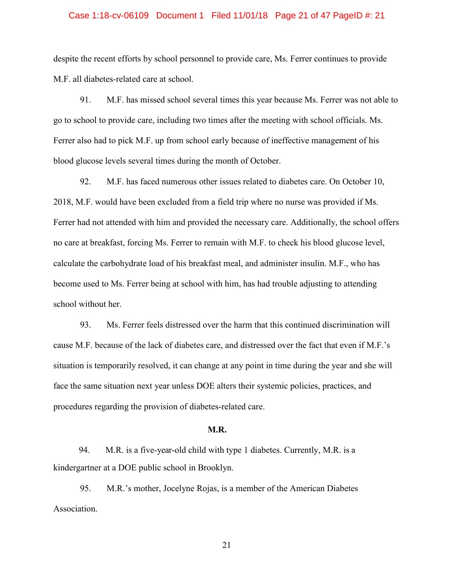#### Case 1:18-cv-06109 Document 1 Filed 11/01/18 Page 21 of 47 PageID #: 21

despite the recent efforts by school personnel to provide care, Ms. Ferrer continues to provide M.F. all diabetes-related care at school.

91. M.F. has missed school several times this year because Ms. Ferrer was not able to go to school to provide care, including two times after the meeting with school officials. Ms. Ferrer also had to pick M.F. up from school early because of ineffective management of his blood glucose levels several times during the month of October.

92. M.F. has faced numerous other issues related to diabetes care. On October 10, 2018, M.F. would have been excluded from a field trip where no nurse was provided if Ms. Ferrer had not attended with him and provided the necessary care. Additionally, the school offers no care at breakfast, forcing Ms. Ferrer to remain with M.F. to check his blood glucose level, calculate the carbohydrate load of his breakfast meal, and administer insulin. M.F., who has become used to Ms. Ferrer being at school with him, has had trouble adjusting to attending school without her.

93. Ms. Ferrer feels distressed over the harm that this continued discrimination will cause M.F. because of the lack of diabetes care, and distressed over the fact that even if M.F.'s situation is temporarily resolved, it can change at any point in time during the year and she will face the same situation next year unless DOE alters their systemic policies, practices, and procedures regarding the provision of diabetes-related care.

# **M.R.**

94. M.R. is a five-year-old child with type 1 diabetes. Currently, M.R. is a kindergartner at a DOE public school in Brooklyn.

95. M.R.'s mother, Jocelyne Rojas, is a member of the American Diabetes Association.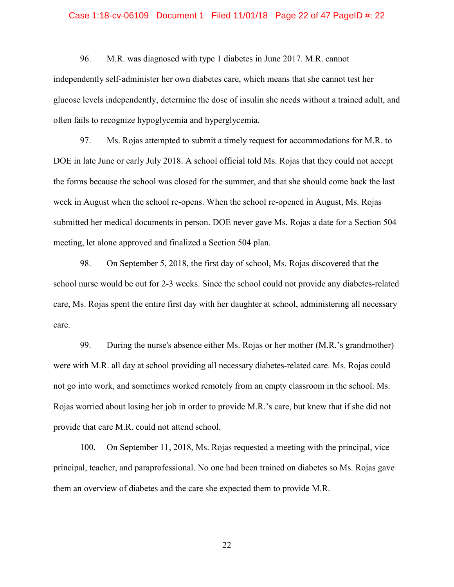#### Case 1:18-cv-06109 Document 1 Filed 11/01/18 Page 22 of 47 PageID #: 22

96. M.R. was diagnosed with type 1 diabetes in June 2017. M.R. cannot independently self-administer her own diabetes care, which means that she cannot test her glucose levels independently, determine the dose of insulin she needs without a trained adult, and often fails to recognize hypoglycemia and hyperglycemia.

97. Ms. Rojas attempted to submit a timely request for accommodations for M.R. to DOE in late June or early July 2018. A school official told Ms. Rojas that they could not accept the forms because the school was closed for the summer, and that she should come back the last week in August when the school re-opens. When the school re-opened in August, Ms. Rojas submitted her medical documents in person. DOE never gave Ms. Rojas a date for a Section 504 meeting, let alone approved and finalized a Section 504 plan.

98. On September 5, 2018, the first day of school, Ms. Rojas discovered that the school nurse would be out for 2-3 weeks. Since the school could not provide any diabetes-related care, Ms. Rojas spent the entire first day with her daughter at school, administering all necessary care.

99. During the nurse's absence either Ms. Rojas or her mother (M.R.'s grandmother) were with M.R. all day at school providing all necessary diabetes-related care. Ms. Rojas could not go into work, and sometimes worked remotely from an empty classroom in the school. Ms. Rojas worried about losing her job in order to provide M.R.'s care, but knew that if she did not provide that care M.R. could not attend school.

100. On September 11, 2018, Ms. Rojas requested a meeting with the principal, vice principal, teacher, and paraprofessional. No one had been trained on diabetes so Ms. Rojas gave them an overview of diabetes and the care she expected them to provide M.R.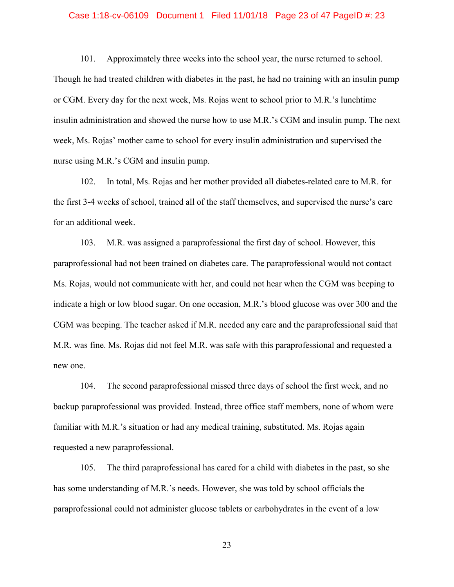#### Case 1:18-cv-06109 Document 1 Filed 11/01/18 Page 23 of 47 PageID #: 23

101. Approximately three weeks into the school year, the nurse returned to school. Though he had treated children with diabetes in the past, he had no training with an insulin pump or CGM. Every day for the next week, Ms. Rojas went to school prior to M.R.'s lunchtime insulin administration and showed the nurse how to use M.R.'s CGM and insulin pump. The next week, Ms. Rojas' mother came to school for every insulin administration and supervised the nurse using M.R.'s CGM and insulin pump.

102. In total, Ms. Rojas and her mother provided all diabetes-related care to M.R. for the first 3-4 weeks of school, trained all of the staff themselves, and supervised the nurse's care for an additional week.

103. M.R. was assigned a paraprofessional the first day of school. However, this paraprofessional had not been trained on diabetes care. The paraprofessional would not contact Ms. Rojas, would not communicate with her, and could not hear when the CGM was beeping to indicate a high or low blood sugar. On one occasion, M.R.'s blood glucose was over 300 and the CGM was beeping. The teacher asked if M.R. needed any care and the paraprofessional said that M.R. was fine. Ms. Rojas did not feel M.R. was safe with this paraprofessional and requested a new one.

104. The second paraprofessional missed three days of school the first week, and no backup paraprofessional was provided. Instead, three office staff members, none of whom were familiar with M.R.'s situation or had any medical training, substituted. Ms. Rojas again requested a new paraprofessional.

105. The third paraprofessional has cared for a child with diabetes in the past, so she has some understanding of M.R.'s needs. However, she was told by school officials the paraprofessional could not administer glucose tablets or carbohydrates in the event of a low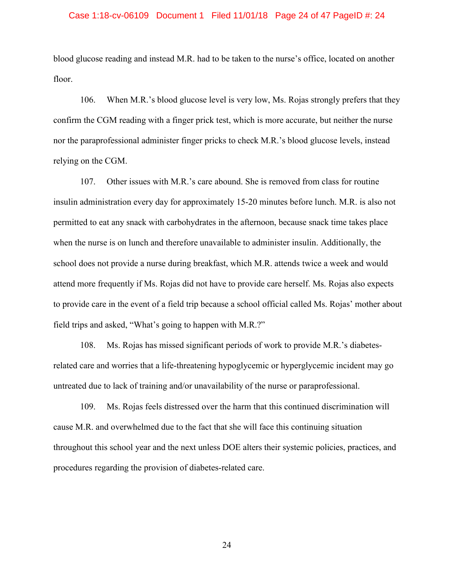#### Case 1:18-cv-06109 Document 1 Filed 11/01/18 Page 24 of 47 PageID #: 24

blood glucose reading and instead M.R. had to be taken to the nurse's office, located on another floor.

106. When M.R.'s blood glucose level is very low, Ms. Rojas strongly prefers that they confirm the CGM reading with a finger prick test, which is more accurate, but neither the nurse nor the paraprofessional administer finger pricks to check M.R.'s blood glucose levels, instead relying on the CGM.

107. Other issues with M.R.'s care abound. She is removed from class for routine insulin administration every day for approximately 15-20 minutes before lunch. M.R. is also not permitted to eat any snack with carbohydrates in the afternoon, because snack time takes place when the nurse is on lunch and therefore unavailable to administer insulin. Additionally, the school does not provide a nurse during breakfast, which M.R. attends twice a week and would attend more frequently if Ms. Rojas did not have to provide care herself. Ms. Rojas also expects to provide care in the event of a field trip because a school official called Ms. Rojas' mother about field trips and asked, "What's going to happen with M.R.?"

108. Ms. Rojas has missed significant periods of work to provide M.R.'s diabetesrelated care and worries that a life-threatening hypoglycemic or hyperglycemic incident may go untreated due to lack of training and/or unavailability of the nurse or paraprofessional.

109. Ms. Rojas feels distressed over the harm that this continued discrimination will cause M.R. and overwhelmed due to the fact that she will face this continuing situation throughout this school year and the next unless DOE alters their systemic policies, practices, and procedures regarding the provision of diabetes-related care.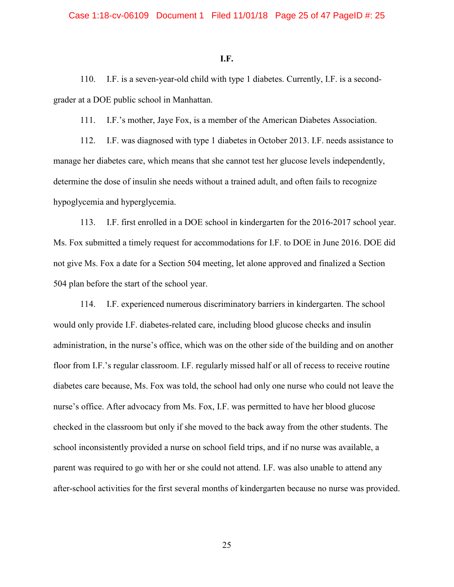#### **I.F.**

110. I.F. is a seven-year-old child with type 1 diabetes. Currently, I.F. is a secondgrader at a DOE public school in Manhattan.

111. I.F.'s mother, Jaye Fox, is a member of the American Diabetes Association.

112. I.F. was diagnosed with type 1 diabetes in October 2013. I.F. needs assistance to manage her diabetes care, which means that she cannot test her glucose levels independently, determine the dose of insulin she needs without a trained adult, and often fails to recognize hypoglycemia and hyperglycemia.

113. I.F. first enrolled in a DOE school in kindergarten for the 2016-2017 school year. Ms. Fox submitted a timely request for accommodations for I.F. to DOE in June 2016. DOE did not give Ms. Fox a date for a Section 504 meeting, let alone approved and finalized a Section 504 plan before the start of the school year.

114. I.F. experienced numerous discriminatory barriers in kindergarten. The school would only provide I.F. diabetes-related care, including blood glucose checks and insulin administration, in the nurse's office, which was on the other side of the building and on another floor from I.F.'s regular classroom. I.F. regularly missed half or all of recess to receive routine diabetes care because, Ms. Fox was told, the school had only one nurse who could not leave the nurse's office. After advocacy from Ms. Fox, I.F. was permitted to have her blood glucose checked in the classroom but only if she moved to the back away from the other students. The school inconsistently provided a nurse on school field trips, and if no nurse was available, a parent was required to go with her or she could not attend. I.F. was also unable to attend any after-school activities for the first several months of kindergarten because no nurse was provided.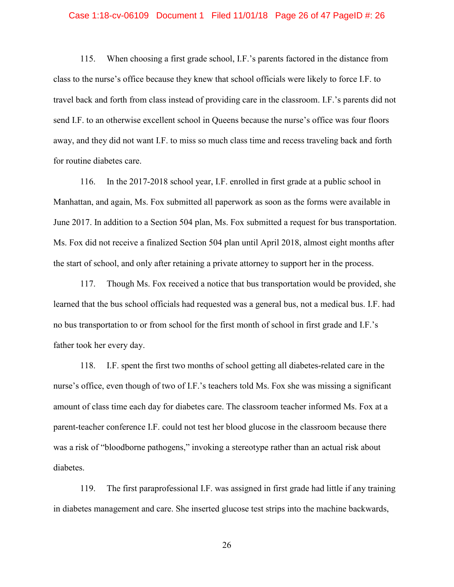#### Case 1:18-cv-06109 Document 1 Filed 11/01/18 Page 26 of 47 PageID #: 26

115. When choosing a first grade school, I.F.'s parents factored in the distance from class to the nurse's office because they knew that school officials were likely to force I.F. to travel back and forth from class instead of providing care in the classroom. I.F.'s parents did not send I.F. to an otherwise excellent school in Queens because the nurse's office was four floors away, and they did not want I.F. to miss so much class time and recess traveling back and forth for routine diabetes care.

116. In the 2017-2018 school year, I.F. enrolled in first grade at a public school in Manhattan, and again, Ms. Fox submitted all paperwork as soon as the forms were available in June 2017. In addition to a Section 504 plan, Ms. Fox submitted a request for bus transportation. Ms. Fox did not receive a finalized Section 504 plan until April 2018, almost eight months after the start of school, and only after retaining a private attorney to support her in the process.

117. Though Ms. Fox received a notice that bus transportation would be provided, she learned that the bus school officials had requested was a general bus, not a medical bus. I.F. had no bus transportation to or from school for the first month of school in first grade and I.F.'s father took her every day.

118. I.F. spent the first two months of school getting all diabetes-related care in the nurse's office, even though of two of I.F.'s teachers told Ms. Fox she was missing a significant amount of class time each day for diabetes care. The classroom teacher informed Ms. Fox at a parent-teacher conference I.F. could not test her blood glucose in the classroom because there was a risk of "bloodborne pathogens," invoking a stereotype rather than an actual risk about diabetes.

119. The first paraprofessional I.F. was assigned in first grade had little if any training in diabetes management and care. She inserted glucose test strips into the machine backwards,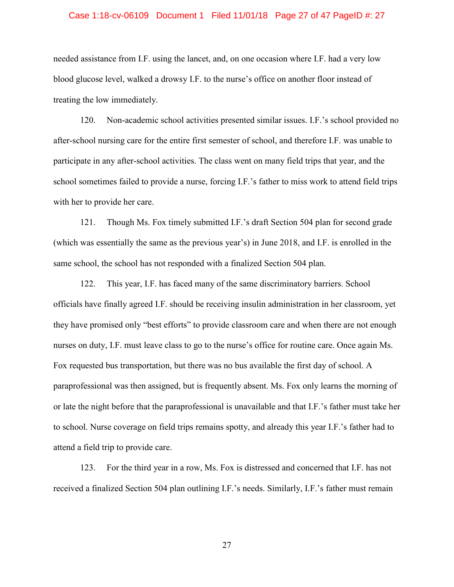#### Case 1:18-cv-06109 Document 1 Filed 11/01/18 Page 27 of 47 PageID #: 27

needed assistance from I.F. using the lancet, and, on one occasion where I.F. had a very low blood glucose level, walked a drowsy I.F. to the nurse's office on another floor instead of treating the low immediately.

120. Non-academic school activities presented similar issues. I.F.'s school provided no after-school nursing care for the entire first semester of school, and therefore I.F. was unable to participate in any after-school activities. The class went on many field trips that year, and the school sometimes failed to provide a nurse, forcing I.F.'s father to miss work to attend field trips with her to provide her care.

121. Though Ms. Fox timely submitted I.F.'s draft Section 504 plan for second grade (which was essentially the same as the previous year's) in June 2018, and I.F. is enrolled in the same school, the school has not responded with a finalized Section 504 plan.

122. This year, I.F. has faced many of the same discriminatory barriers. School officials have finally agreed I.F. should be receiving insulin administration in her classroom, yet they have promised only "best efforts" to provide classroom care and when there are not enough nurses on duty, I.F. must leave class to go to the nurse's office for routine care. Once again Ms. Fox requested bus transportation, but there was no bus available the first day of school. A paraprofessional was then assigned, but is frequently absent. Ms. Fox only learns the morning of or late the night before that the paraprofessional is unavailable and that I.F.'s father must take her to school. Nurse coverage on field trips remains spotty, and already this year I.F.'s father had to attend a field trip to provide care.

123. For the third year in a row, Ms. Fox is distressed and concerned that I.F. has not received a finalized Section 504 plan outlining I.F.'s needs. Similarly, I.F.'s father must remain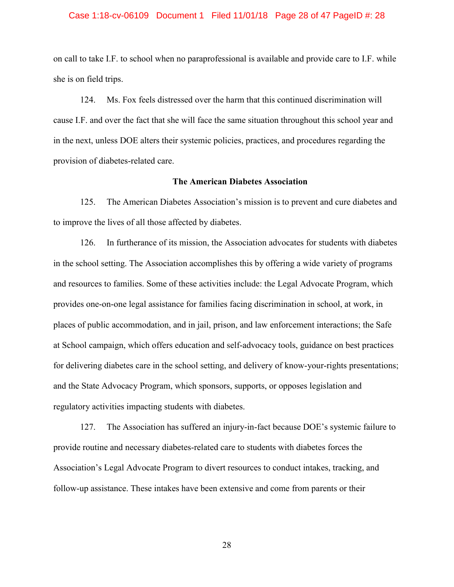#### Case 1:18-cv-06109 Document 1 Filed 11/01/18 Page 28 of 47 PageID #: 28

on call to take I.F. to school when no paraprofessional is available and provide care to I.F. while she is on field trips.

124. Ms. Fox feels distressed over the harm that this continued discrimination will cause I.F. and over the fact that she will face the same situation throughout this school year and in the next, unless DOE alters their systemic policies, practices, and procedures regarding the provision of diabetes-related care.

# **The American Diabetes Association**

125. The American Diabetes Association's mission is to prevent and cure diabetes and to improve the lives of all those affected by diabetes.

126. In furtherance of its mission, the Association advocates for students with diabetes in the school setting. The Association accomplishes this by offering a wide variety of programs and resources to families. Some of these activities include: the Legal Advocate Program, which provides one-on-one legal assistance for families facing discrimination in school, at work, in places of public accommodation, and in jail, prison, and law enforcement interactions; the Safe at School campaign, which offers education and self-advocacy tools, guidance on best practices for delivering diabetes care in the school setting, and delivery of know-your-rights presentations; and the State Advocacy Program, which sponsors, supports, or opposes legislation and regulatory activities impacting students with diabetes.

127. The Association has suffered an injury-in-fact because DOE's systemic failure to provide routine and necessary diabetes-related care to students with diabetes forces the Association's Legal Advocate Program to divert resources to conduct intakes, tracking, and follow-up assistance. These intakes have been extensive and come from parents or their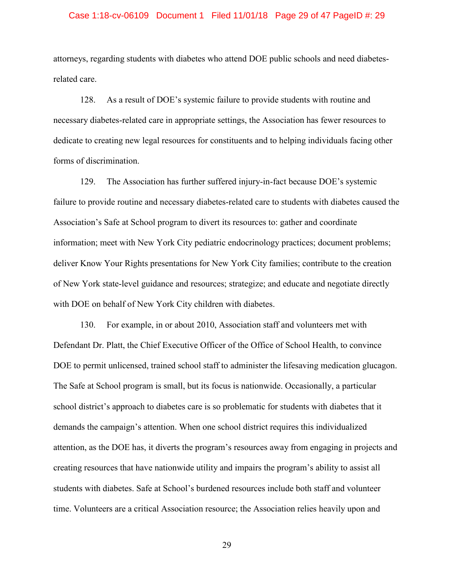#### Case 1:18-cv-06109 Document 1 Filed 11/01/18 Page 29 of 47 PageID #: 29

attorneys, regarding students with diabetes who attend DOE public schools and need diabetesrelated care.

128. As a result of DOE's systemic failure to provide students with routine and necessary diabetes-related care in appropriate settings, the Association has fewer resources to dedicate to creating new legal resources for constituents and to helping individuals facing other forms of discrimination.

129. The Association has further suffered injury-in-fact because DOE's systemic failure to provide routine and necessary diabetes-related care to students with diabetes caused the Association's Safe at School program to divert its resources to: gather and coordinate information; meet with New York City pediatric endocrinology practices; document problems; deliver Know Your Rights presentations for New York City families; contribute to the creation of New York state-level guidance and resources; strategize; and educate and negotiate directly with DOE on behalf of New York City children with diabetes.

130. For example, in or about 2010, Association staff and volunteers met with Defendant Dr. Platt, the Chief Executive Officer of the Office of School Health, to convince DOE to permit unlicensed, trained school staff to administer the lifesaving medication glucagon. The Safe at School program is small, but its focus is nationwide. Occasionally, a particular school district's approach to diabetes care is so problematic for students with diabetes that it demands the campaign's attention. When one school district requires this individualized attention, as the DOE has, it diverts the program's resources away from engaging in projects and creating resources that have nationwide utility and impairs the program's ability to assist all students with diabetes. Safe at School's burdened resources include both staff and volunteer time. Volunteers are a critical Association resource; the Association relies heavily upon and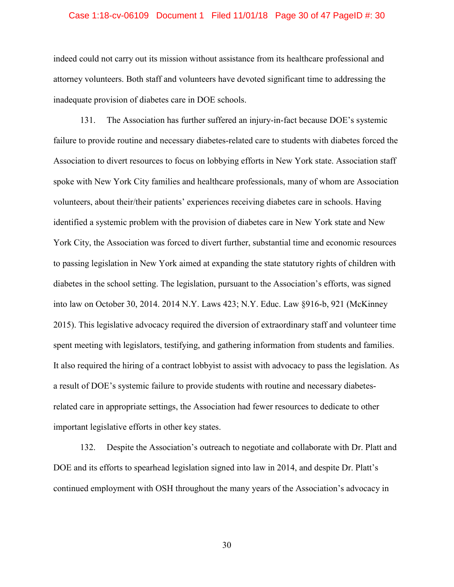#### Case 1:18-cv-06109 Document 1 Filed 11/01/18 Page 30 of 47 PageID #: 30

indeed could not carry out its mission without assistance from its healthcare professional and attorney volunteers. Both staff and volunteers have devoted significant time to addressing the inadequate provision of diabetes care in DOE schools.

131. The Association has further suffered an injury-in-fact because DOE's systemic failure to provide routine and necessary diabetes-related care to students with diabetes forced the Association to divert resources to focus on lobbying efforts in New York state. Association staff spoke with New York City families and healthcare professionals, many of whom are Association volunteers, about their/their patients' experiences receiving diabetes care in schools. Having identified a systemic problem with the provision of diabetes care in New York state and New York City, the Association was forced to divert further, substantial time and economic resources to passing legislation in New York aimed at expanding the state statutory rights of children with diabetes in the school setting. The legislation, pursuant to the Association's efforts, was signed into law on October 30, 2014. 2014 N.Y. Laws 423; N.Y. Educ. Law §916-b, 921 (McKinney 2015). This legislative advocacy required the diversion of extraordinary staff and volunteer time spent meeting with legislators, testifying, and gathering information from students and families. It also required the hiring of a contract lobbyist to assist with advocacy to pass the legislation. As a result of DOE's systemic failure to provide students with routine and necessary diabetesrelated care in appropriate settings, the Association had fewer resources to dedicate to other important legislative efforts in other key states.

132. Despite the Association's outreach to negotiate and collaborate with Dr. Platt and DOE and its efforts to spearhead legislation signed into law in 2014, and despite Dr. Platt's continued employment with OSH throughout the many years of the Association's advocacy in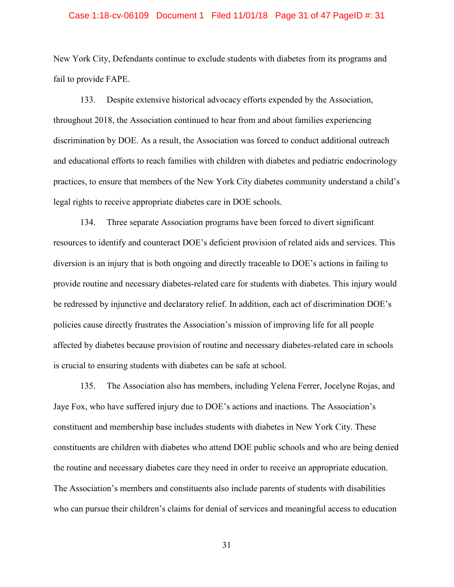#### Case 1:18-cv-06109 Document 1 Filed 11/01/18 Page 31 of 47 PageID #: 31

New York City, Defendants continue to exclude students with diabetes from its programs and fail to provide FAPE.

133. Despite extensive historical advocacy efforts expended by the Association, throughout 2018, the Association continued to hear from and about families experiencing discrimination by DOE. As a result, the Association was forced to conduct additional outreach and educational efforts to reach families with children with diabetes and pediatric endocrinology practices, to ensure that members of the New York City diabetes community understand a child's legal rights to receive appropriate diabetes care in DOE schools.

134. Three separate Association programs have been forced to divert significant resources to identify and counteract DOE's deficient provision of related aids and services. This diversion is an injury that is both ongoing and directly traceable to DOE's actions in failing to provide routine and necessary diabetes-related care for students with diabetes. This injury would be redressed by injunctive and declaratory relief. In addition, each act of discrimination DOE's policies cause directly frustrates the Association's mission of improving life for all people affected by diabetes because provision of routine and necessary diabetes-related care in schools is crucial to ensuring students with diabetes can be safe at school.

135. The Association also has members, including Yelena Ferrer, Jocelyne Rojas, and Jaye Fox, who have suffered injury due to DOE's actions and inactions. The Association's constituent and membership base includes students with diabetes in New York City. These constituents are children with diabetes who attend DOE public schools and who are being denied the routine and necessary diabetes care they need in order to receive an appropriate education. The Association's members and constituents also include parents of students with disabilities who can pursue their children's claims for denial of services and meaningful access to education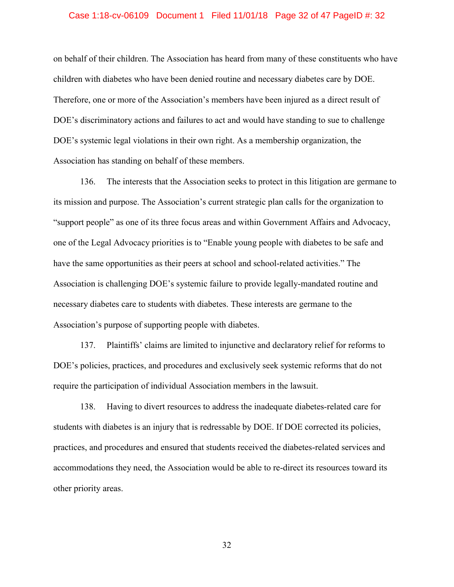#### Case 1:18-cv-06109 Document 1 Filed 11/01/18 Page 32 of 47 PageID #: 32

on behalf of their children. The Association has heard from many of these constituents who have children with diabetes who have been denied routine and necessary diabetes care by DOE. Therefore, one or more of the Association's members have been injured as a direct result of DOE's discriminatory actions and failures to act and would have standing to sue to challenge DOE's systemic legal violations in their own right. As a membership organization, the Association has standing on behalf of these members.

136. The interests that the Association seeks to protect in this litigation are germane to its mission and purpose. The Association's current strategic plan calls for the organization to "support people" as one of its three focus areas and within Government Affairs and Advocacy, one of the Legal Advocacy priorities is to "Enable young people with diabetes to be safe and have the same opportunities as their peers at school and school-related activities." The Association is challenging DOE's systemic failure to provide legally-mandated routine and necessary diabetes care to students with diabetes. These interests are germane to the Association's purpose of supporting people with diabetes.

137. Plaintiffs' claims are limited to injunctive and declaratory relief for reforms to DOE's policies, practices, and procedures and exclusively seek systemic reforms that do not require the participation of individual Association members in the lawsuit.

138. Having to divert resources to address the inadequate diabetes-related care for students with diabetes is an injury that is redressable by DOE. If DOE corrected its policies, practices, and procedures and ensured that students received the diabetes-related services and accommodations they need, the Association would be able to re-direct its resources toward its other priority areas.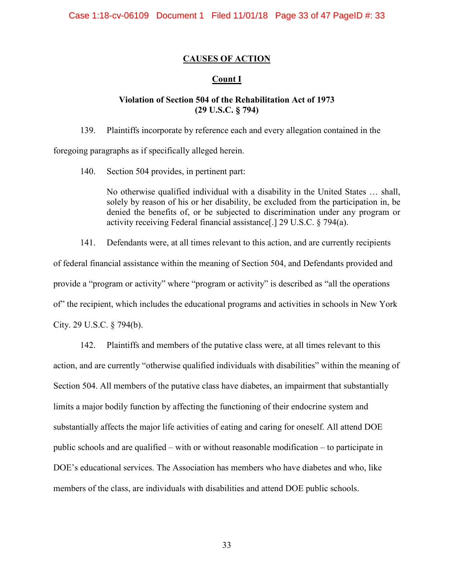# **CAUSES OF ACTION**

# **Count I**

# **Violation of Section 504 of the Rehabilitation Act of 1973 (29 U.S.C. § 794)**

139. Plaintiffs incorporate by reference each and every allegation contained in the

foregoing paragraphs as if specifically alleged herein.

140. Section 504 provides, in pertinent part:

No otherwise qualified individual with a disability in the United States … shall, solely by reason of his or her disability, be excluded from the participation in, be denied the benefits of, or be subjected to discrimination under any program or activity receiving Federal financial assistance[.] 29 U.S.C. § 794(a).

141. Defendants were, at all times relevant to this action, and are currently recipients of federal financial assistance within the meaning of Section 504, and Defendants provided and provide a "program or activity" where "program or activity" is described as "all the operations of" the recipient, which includes the educational programs and activities in schools in New York City. 29 U.S.C. § 794(b).

142. Plaintiffs and members of the putative class were, at all times relevant to this action, and are currently "otherwise qualified individuals with disabilities" within the meaning of Section 504. All members of the putative class have diabetes, an impairment that substantially limits a major bodily function by affecting the functioning of their endocrine system and substantially affects the major life activities of eating and caring for oneself. All attend DOE public schools and are qualified – with or without reasonable modification – to participate in DOE's educational services. The Association has members who have diabetes and who, like members of the class, are individuals with disabilities and attend DOE public schools.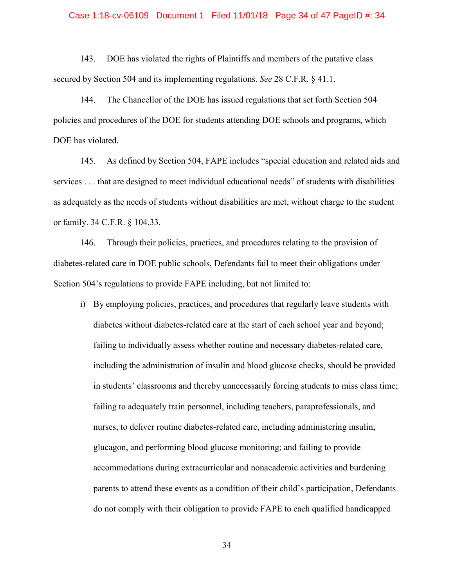#### Case 1:18-cv-06109 Document 1 Filed 11/01/18 Page 34 of 47 PageID #: 34

143. DOE has violated the rights of Plaintiffs and members of the putative class secured by Section 504 and its implementing regulations. *See* 28 C.F.R. § 41.1.

144. The Chancellor of the DOE has issued regulations that set forth Section 504 policies and procedures of the DOE for students attending DOE schools and programs, which DOE has violated.

145. As defined by Section 504, FAPE includes "special education and related aids and services . . . that are designed to meet individual educational needs" of students with disabilities as adequately as the needs of students without disabilities are met, without charge to the student or family. 34 C.F.R. § 104.33.

146. Through their policies, practices, and procedures relating to the provision of diabetes-related care in DOE public schools, Defendants fail to meet their obligations under Section 504's regulations to provide FAPE including, but not limited to:

i) By employing policies, practices, and procedures that regularly leave students with diabetes without diabetes-related care at the start of each school year and beyond; failing to individually assess whether routine and necessary diabetes-related care, including the administration of insulin and blood glucose checks, should be provided in students' classrooms and thereby unnecessarily forcing students to miss class time; failing to adequately train personnel, including teachers, paraprofessionals, and nurses, to deliver routine diabetes-related care, including administering insulin, glucagon, and performing blood glucose monitoring; and failing to provide accommodations during extracurricular and nonacademic activities and burdening parents to attend these events as a condition of their child's participation, Defendants do not comply with their obligation to provide FAPE to each qualified handicapped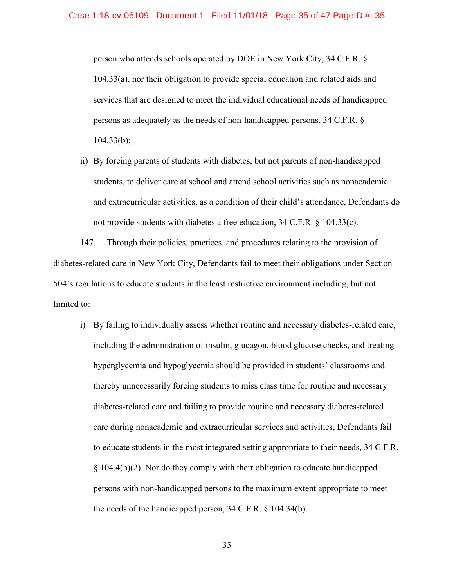person who attends schools operated by DOE in New York City, 34 C.F.R. § 104.33(a), nor their obligation to provide special education and related aids and services that are designed to meet the individual educational needs of handicapped persons as adequately as the needs of non-handicapped persons, 34 C.F.R. §  $104.33(b)$ ;

ii) By forcing parents of students with diabetes, but not parents of non-handicapped students, to deliver care at school and attend school activities such as nonacademic and extracurricular activities, as a condition of their child's attendance, Defendants do not provide students with diabetes a free education, 34 C.F.R. § 104.33(c).

147. Through their policies, practices, and procedures relating to the provision of diabetes-related care in New York City, Defendants fail to meet their obligations under Section 504's regulations to educate students in the least restrictive environment including, but not limited to:

i) By failing to individually assess whether routine and necessary diabetes-related care, including the administration of insulin, glucagon, blood glucose checks, and treating hyperglycemia and hypoglycemia should be provided in students' classrooms and thereby unnecessarily forcing students to miss class time for routine and necessary diabetes-related care and failing to provide routine and necessary diabetes-related care during nonacademic and extracurricular services and activities, Defendants fail to educate students in the most integrated setting appropriate to their needs, 34 C.F.R. § 104.4(b)(2). Nor do they comply with their obligation to educate handicapped persons with non-handicapped persons to the maximum extent appropriate to meet the needs of the handicapped person, 34 C.F.R. § 104.34(b).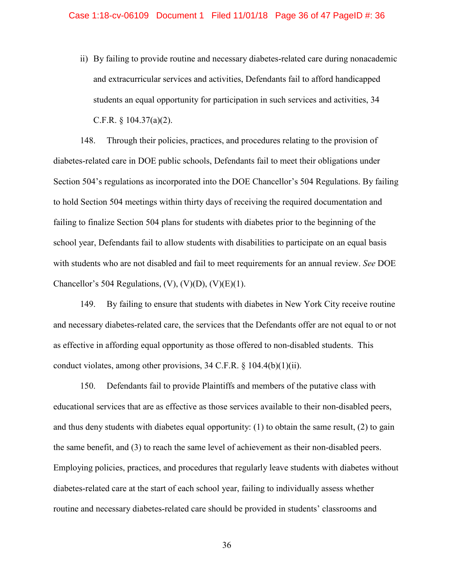ii) By failing to provide routine and necessary diabetes-related care during nonacademic and extracurricular services and activities, Defendants fail to afford handicapped students an equal opportunity for participation in such services and activities, 34 C.F.R. § 104.37(a)(2).

148. Through their policies, practices, and procedures relating to the provision of diabetes-related care in DOE public schools, Defendants fail to meet their obligations under Section 504's regulations as incorporated into the DOE Chancellor's 504 Regulations. By failing to hold Section 504 meetings within thirty days of receiving the required documentation and failing to finalize Section 504 plans for students with diabetes prior to the beginning of the school year, Defendants fail to allow students with disabilities to participate on an equal basis with students who are not disabled and fail to meet requirements for an annual review. *See* DOE Chancellor's 504 Regulations,  $(V)$ ,  $(V)(D)$ ,  $(V)(E)(1)$ .

149. By failing to ensure that students with diabetes in New York City receive routine and necessary diabetes-related care, the services that the Defendants offer are not equal to or not as effective in affording equal opportunity as those offered to non-disabled students. This conduct violates, among other provisions, 34 C.F.R. § 104.4(b)(1)(ii).

150. Defendants fail to provide Plaintiffs and members of the putative class with educational services that are as effective as those services available to their non-disabled peers, and thus deny students with diabetes equal opportunity: (1) to obtain the same result, (2) to gain the same benefit, and (3) to reach the same level of achievement as their non-disabled peers. Employing policies, practices, and procedures that regularly leave students with diabetes without diabetes-related care at the start of each school year, failing to individually assess whether routine and necessary diabetes-related care should be provided in students' classrooms and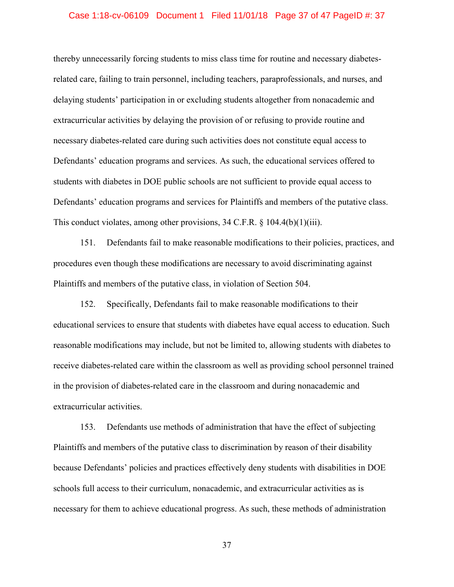#### Case 1:18-cv-06109 Document 1 Filed 11/01/18 Page 37 of 47 PageID #: 37

thereby unnecessarily forcing students to miss class time for routine and necessary diabetesrelated care, failing to train personnel, including teachers, paraprofessionals, and nurses, and delaying students' participation in or excluding students altogether from nonacademic and extracurricular activities by delaying the provision of or refusing to provide routine and necessary diabetes-related care during such activities does not constitute equal access to Defendants' education programs and services. As such, the educational services offered to students with diabetes in DOE public schools are not sufficient to provide equal access to Defendants' education programs and services for Plaintiffs and members of the putative class. This conduct violates, among other provisions, 34 C.F.R. § 104.4(b)(1)(iii).

151. Defendants fail to make reasonable modifications to their policies, practices, and procedures even though these modifications are necessary to avoid discriminating against Plaintiffs and members of the putative class, in violation of Section 504.

152. Specifically, Defendants fail to make reasonable modifications to their educational services to ensure that students with diabetes have equal access to education. Such reasonable modifications may include, but not be limited to, allowing students with diabetes to receive diabetes-related care within the classroom as well as providing school personnel trained in the provision of diabetes-related care in the classroom and during nonacademic and extracurricular activities.

153. Defendants use methods of administration that have the effect of subjecting Plaintiffs and members of the putative class to discrimination by reason of their disability because Defendants' policies and practices effectively deny students with disabilities in DOE schools full access to their curriculum, nonacademic, and extracurricular activities as is necessary for them to achieve educational progress. As such, these methods of administration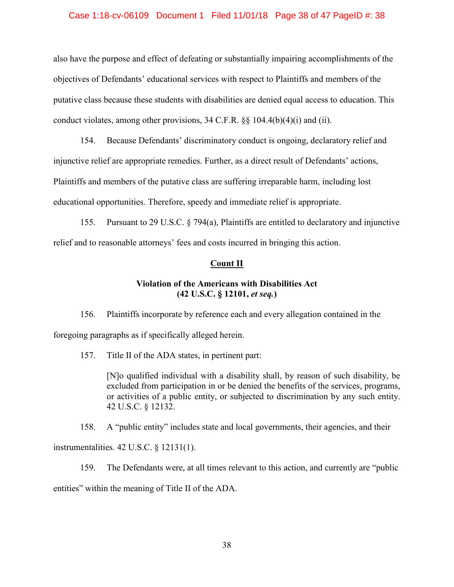## Case 1:18-cv-06109 Document 1 Filed 11/01/18 Page 38 of 47 PageID #: 38

also have the purpose and effect of defeating or substantially impairing accomplishments of the objectives of Defendants' educational services with respect to Plaintiffs and members of the putative class because these students with disabilities are denied equal access to education. This conduct violates, among other provisions, 34 C.F.R. §§ 104.4(b)(4)(i) and (ii).

154. Because Defendants' discriminatory conduct is ongoing, declaratory relief and injunctive relief are appropriate remedies. Further, as a direct result of Defendants' actions, Plaintiffs and members of the putative class are suffering irreparable harm, including lost educational opportunities. Therefore, speedy and immediate relief is appropriate.

155. Pursuant to 29 U.S.C. § 794(a), Plaintiffs are entitled to declaratory and injunctive relief and to reasonable attorneys' fees and costs incurred in bringing this action.

#### **Count II**

# **Violation of the Americans with Disabilities Act (42 U.S.C. § 12101,** *et seq.***)**

156. Plaintiffs incorporate by reference each and every allegation contained in the foregoing paragraphs as if specifically alleged herein.

157. Title II of the ADA states, in pertinent part:

[N]o qualified individual with a disability shall, by reason of such disability, be excluded from participation in or be denied the benefits of the services, programs, or activities of a public entity, or subjected to discrimination by any such entity. 42 U.S.C. § 12132.

158. A "public entity" includes state and local governments, their agencies, and their instrumentalities. 42 U.S.C. § 12131(1).

159. The Defendants were, at all times relevant to this action, and currently are "public entities" within the meaning of Title II of the ADA.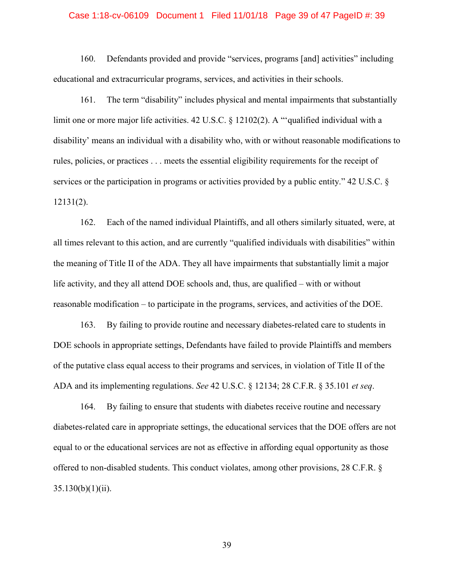#### Case 1:18-cv-06109 Document 1 Filed 11/01/18 Page 39 of 47 PageID #: 39

160. Defendants provided and provide "services, programs [and] activities" including educational and extracurricular programs, services, and activities in their schools.

161. The term "disability" includes physical and mental impairments that substantially limit one or more major life activities. 42 U.S.C. § 12102(2). A "'qualified individual with a disability' means an individual with a disability who, with or without reasonable modifications to rules, policies, or practices . . . meets the essential eligibility requirements for the receipt of services or the participation in programs or activities provided by a public entity." 42 U.S.C. § 12131(2).

162. Each of the named individual Plaintiffs, and all others similarly situated, were, at all times relevant to this action, and are currently "qualified individuals with disabilities" within the meaning of Title II of the ADA. They all have impairments that substantially limit a major life activity, and they all attend DOE schools and, thus, are qualified – with or without reasonable modification – to participate in the programs, services, and activities of the DOE.

163. By failing to provide routine and necessary diabetes-related care to students in DOE schools in appropriate settings, Defendants have failed to provide Plaintiffs and members of the putative class equal access to their programs and services, in violation of Title II of the ADA and its implementing regulations. *See* 42 U.S.C. § 12134; 28 C.F.R. § 35.101 *et seq*.

164. By failing to ensure that students with diabetes receive routine and necessary diabetes-related care in appropriate settings, the educational services that the DOE offers are not equal to or the educational services are not as effective in affording equal opportunity as those offered to non-disabled students. This conduct violates, among other provisions, 28 C.F.R. §  $35.130(b)(1)(ii)$ .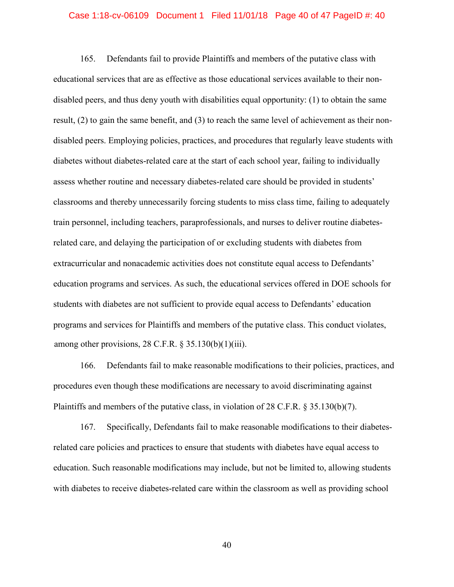#### Case 1:18-cv-06109 Document 1 Filed 11/01/18 Page 40 of 47 PageID #: 40

165. Defendants fail to provide Plaintiffs and members of the putative class with educational services that are as effective as those educational services available to their nondisabled peers, and thus deny youth with disabilities equal opportunity: (1) to obtain the same result, (2) to gain the same benefit, and (3) to reach the same level of achievement as their nondisabled peers. Employing policies, practices, and procedures that regularly leave students with diabetes without diabetes-related care at the start of each school year, failing to individually assess whether routine and necessary diabetes-related care should be provided in students' classrooms and thereby unnecessarily forcing students to miss class time, failing to adequately train personnel, including teachers, paraprofessionals, and nurses to deliver routine diabetesrelated care, and delaying the participation of or excluding students with diabetes from extracurricular and nonacademic activities does not constitute equal access to Defendants' education programs and services. As such, the educational services offered in DOE schools for students with diabetes are not sufficient to provide equal access to Defendants' education programs and services for Plaintiffs and members of the putative class. This conduct violates, among other provisions, 28 C.F.R.  $\S 35.130(b)(1)(iii)$ .

166. Defendants fail to make reasonable modifications to their policies, practices, and procedures even though these modifications are necessary to avoid discriminating against Plaintiffs and members of the putative class, in violation of 28 C.F.R. § 35.130(b)(7).

167. Specifically, Defendants fail to make reasonable modifications to their diabetesrelated care policies and practices to ensure that students with diabetes have equal access to education. Such reasonable modifications may include, but not be limited to, allowing students with diabetes to receive diabetes-related care within the classroom as well as providing school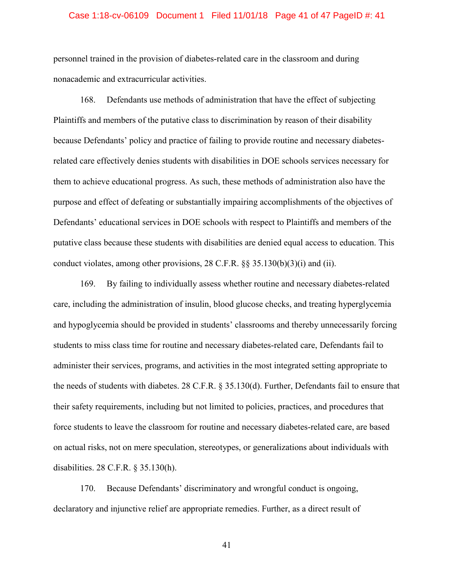#### Case 1:18-cv-06109 Document 1 Filed 11/01/18 Page 41 of 47 PageID #: 41

personnel trained in the provision of diabetes-related care in the classroom and during nonacademic and extracurricular activities.

168. Defendants use methods of administration that have the effect of subjecting Plaintiffs and members of the putative class to discrimination by reason of their disability because Defendants' policy and practice of failing to provide routine and necessary diabetesrelated care effectively denies students with disabilities in DOE schools services necessary for them to achieve educational progress. As such, these methods of administration also have the purpose and effect of defeating or substantially impairing accomplishments of the objectives of Defendants' educational services in DOE schools with respect to Plaintiffs and members of the putative class because these students with disabilities are denied equal access to education. This conduct violates, among other provisions, 28 C.F.R. §§ 35.130(b)(3)(i) and (ii).

169. By failing to individually assess whether routine and necessary diabetes-related care, including the administration of insulin, blood glucose checks, and treating hyperglycemia and hypoglycemia should be provided in students' classrooms and thereby unnecessarily forcing students to miss class time for routine and necessary diabetes-related care, Defendants fail to administer their services, programs, and activities in the most integrated setting appropriate to the needs of students with diabetes. 28 C.F.R. § 35.130(d). Further, Defendants fail to ensure that their safety requirements, including but not limited to policies, practices, and procedures that force students to leave the classroom for routine and necessary diabetes-related care, are based on actual risks, not on mere speculation, stereotypes, or generalizations about individuals with disabilities. 28 C.F.R. § 35.130(h).

170. Because Defendants' discriminatory and wrongful conduct is ongoing, declaratory and injunctive relief are appropriate remedies. Further, as a direct result of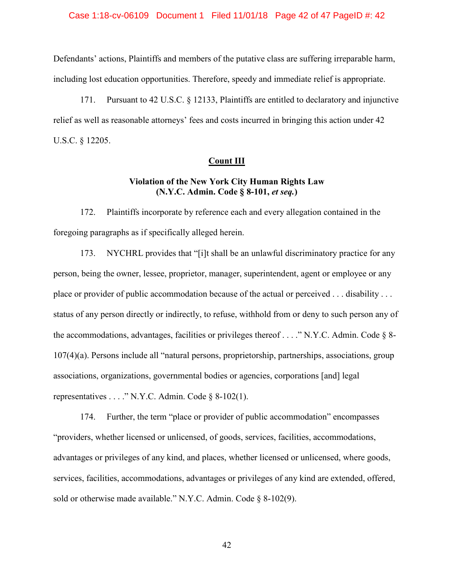## Case 1:18-cv-06109 Document 1 Filed 11/01/18 Page 42 of 47 PageID #: 42

Defendants' actions, Plaintiffs and members of the putative class are suffering irreparable harm, including lost education opportunities. Therefore, speedy and immediate relief is appropriate.

171. Pursuant to 42 U.S.C. § 12133, Plaintiffs are entitled to declaratory and injunctive relief as well as reasonable attorneys' fees and costs incurred in bringing this action under 42 U.S.C. § 12205.

## **Count III**

# **Violation of the New York City Human Rights Law (N.Y.C. Admin. Code § 8-101,** *et seq.***)**

172. Plaintiffs incorporate by reference each and every allegation contained in the foregoing paragraphs as if specifically alleged herein.

173. NYCHRL provides that "[i]t shall be an unlawful discriminatory practice for any person, being the owner, lessee, proprietor, manager, superintendent, agent or employee or any place or provider of public accommodation because of the actual or perceived . . . disability . . . status of any person directly or indirectly, to refuse, withhold from or deny to such person any of the accommodations, advantages, facilities or privileges thereof . . . . "N.Y.C. Admin. Code  $\S$  8-107(4)(a). Persons include all "natural persons, proprietorship, partnerships, associations, group associations, organizations, governmental bodies or agencies, corporations [and] legal representatives . . . . " N.Y.C. Admin. Code  $\S$  8-102(1).

174. Further, the term "place or provider of public accommodation" encompasses "providers, whether licensed or unlicensed, of goods, services, facilities, accommodations, advantages or privileges of any kind, and places, whether licensed or unlicensed, where goods, services, facilities, accommodations, advantages or privileges of any kind are extended, offered, sold or otherwise made available." N.Y.C. Admin. Code § 8-102(9).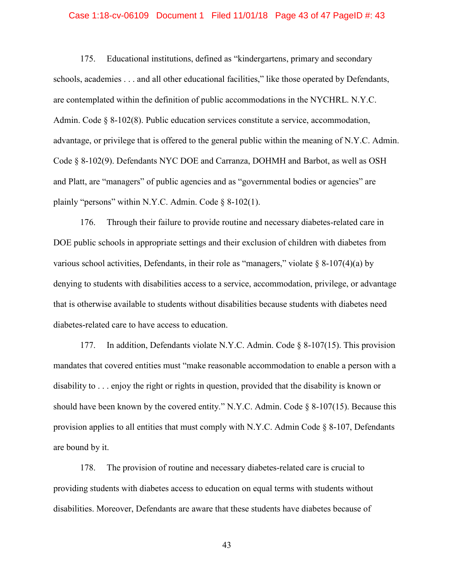#### Case 1:18-cv-06109 Document 1 Filed 11/01/18 Page 43 of 47 PageID #: 43

175. Educational institutions, defined as "kindergartens, primary and secondary schools, academies . . . and all other educational facilities," like those operated by Defendants, are contemplated within the definition of public accommodations in the NYCHRL. N.Y.C. Admin. Code § 8-102(8). Public education services constitute a service, accommodation, advantage, or privilege that is offered to the general public within the meaning of N.Y.C. Admin. Code § 8-102(9). Defendants NYC DOE and Carranza, DOHMH and Barbot, as well as OSH and Platt, are "managers" of public agencies and as "governmental bodies or agencies" are plainly "persons" within N.Y.C. Admin. Code  $\S$  8-102(1).

176. Through their failure to provide routine and necessary diabetes-related care in DOE public schools in appropriate settings and their exclusion of children with diabetes from various school activities, Defendants, in their role as "managers," violate  $\S$  8-107(4)(a) by denying to students with disabilities access to a service, accommodation, privilege, or advantage that is otherwise available to students without disabilities because students with diabetes need diabetes-related care to have access to education.

177. In addition, Defendants violate N.Y.C. Admin. Code § 8-107(15). This provision mandates that covered entities must "make reasonable accommodation to enable a person with a disability to . . . enjoy the right or rights in question, provided that the disability is known or should have been known by the covered entity." N.Y.C. Admin. Code  $\S$  8-107(15). Because this provision applies to all entities that must comply with N.Y.C. Admin Code § 8-107, Defendants are bound by it.

178. The provision of routine and necessary diabetes-related care is crucial to providing students with diabetes access to education on equal terms with students without disabilities. Moreover, Defendants are aware that these students have diabetes because of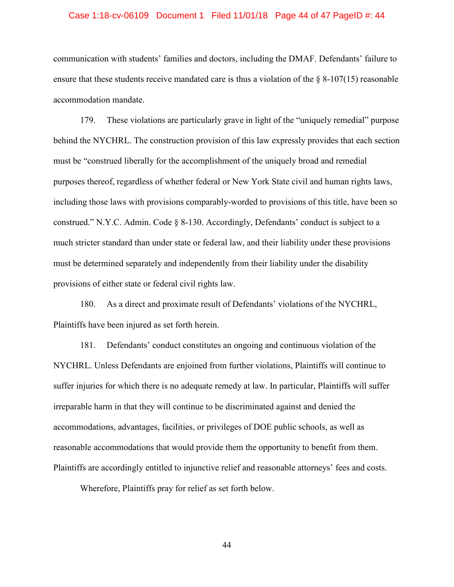#### Case 1:18-cv-06109 Document 1 Filed 11/01/18 Page 44 of 47 PageID #: 44

communication with students' families and doctors, including the DMAF. Defendants' failure to ensure that these students receive mandated care is thus a violation of the  $\S$  8-107(15) reasonable accommodation mandate.

179. These violations are particularly grave in light of the "uniquely remedial" purpose behind the NYCHRL. The construction provision of this law expressly provides that each section must be "construed liberally for the accomplishment of the uniquely broad and remedial purposes thereof, regardless of whether federal or New York State civil and human rights laws, including those laws with provisions comparably-worded to provisions of this title, have been so construed." N.Y.C. Admin. Code § 8-130. Accordingly, Defendants' conduct is subject to a much stricter standard than under state or federal law, and their liability under these provisions must be determined separately and independently from their liability under the disability provisions of either state or federal civil rights law.

180. As a direct and proximate result of Defendants' violations of the NYCHRL, Plaintiffs have been injured as set forth herein.

181. Defendants' conduct constitutes an ongoing and continuous violation of the NYCHRL. Unless Defendants are enjoined from further violations, Plaintiffs will continue to suffer injuries for which there is no adequate remedy at law. In particular, Plaintiffs will suffer irreparable harm in that they will continue to be discriminated against and denied the accommodations, advantages, facilities, or privileges of DOE public schools, as well as reasonable accommodations that would provide them the opportunity to benefit from them. Plaintiffs are accordingly entitled to injunctive relief and reasonable attorneys' fees and costs.

Wherefore, Plaintiffs pray for relief as set forth below.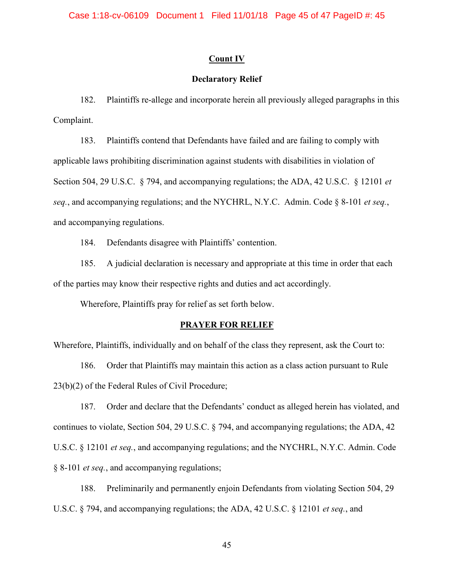# **Count IV**

# **Declaratory Relief**

182. Plaintiffs re-allege and incorporate herein all previously alleged paragraphs in this Complaint.

183. Plaintiffs contend that Defendants have failed and are failing to comply with applicable laws prohibiting discrimination against students with disabilities in violation of Section 504, 29 U.S.C. § 794, and accompanying regulations; the ADA, 42 U.S.C. § 12101 *et seq.*, and accompanying regulations; and the NYCHRL, N.Y.C. Admin. Code § 8-101 *et seq.*, and accompanying regulations.

184. Defendants disagree with Plaintiffs' contention.

185. A judicial declaration is necessary and appropriate at this time in order that each of the parties may know their respective rights and duties and act accordingly.

Wherefore, Plaintiffs pray for relief as set forth below.

#### **PRAYER FOR RELIEF**

Wherefore, Plaintiffs, individually and on behalf of the class they represent, ask the Court to:

186. Order that Plaintiffs may maintain this action as a class action pursuant to Rule 23(b)(2) of the Federal Rules of Civil Procedure;

187. Order and declare that the Defendants' conduct as alleged herein has violated, and continues to violate, Section 504, 29 U.S.C. § 794, and accompanying regulations; the ADA, 42 U.S.C. § 12101 *et seq.*, and accompanying regulations; and the NYCHRL, N.Y.C. Admin. Code § 8-101 *et seq.*, and accompanying regulations;

188. Preliminarily and permanently enjoin Defendants from violating Section 504, 29 U.S.C. § 794, and accompanying regulations; the ADA, 42 U.S.C. § 12101 *et seq.*, and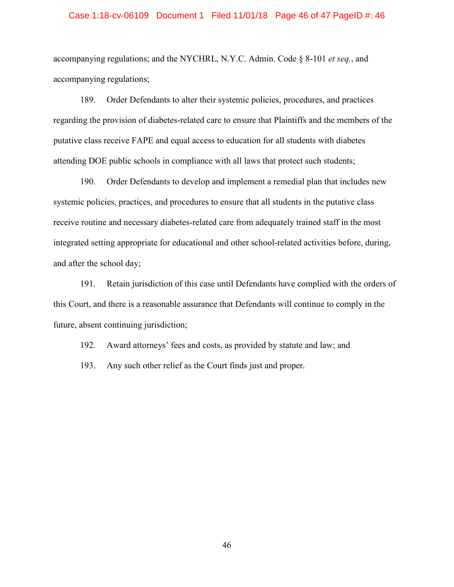## Case 1:18-cv-06109 Document 1 Filed 11/01/18 Page 46 of 47 PageID #: 46

accompanying regulations; and the NYCHRL, N.Y.C. Admin. Code § 8-101 *et seq.*, and accompanying regulations;

189. Order Defendants to alter their systemic policies, procedures, and practices regarding the provision of diabetes-related care to ensure that Plaintiffs and the members of the putative class receive FAPE and equal access to education for all students with diabetes attending DOE public schools in compliance with all laws that protect such students;

190. Order Defendants to develop and implement a remedial plan that includes new systemic policies, practices, and procedures to ensure that all students in the putative class receive routine and necessary diabetes-related care from adequately trained staff in the most integrated setting appropriate for educational and other school-related activities before, during, and after the school day;

191. Retain jurisdiction of this case until Defendants have complied with the orders of this Court, and there is a reasonable assurance that Defendants will continue to comply in the future, absent continuing jurisdiction;

192. Award attorneys' fees and costs, as provided by statute and law; and

193. Any such other relief as the Court finds just and proper.